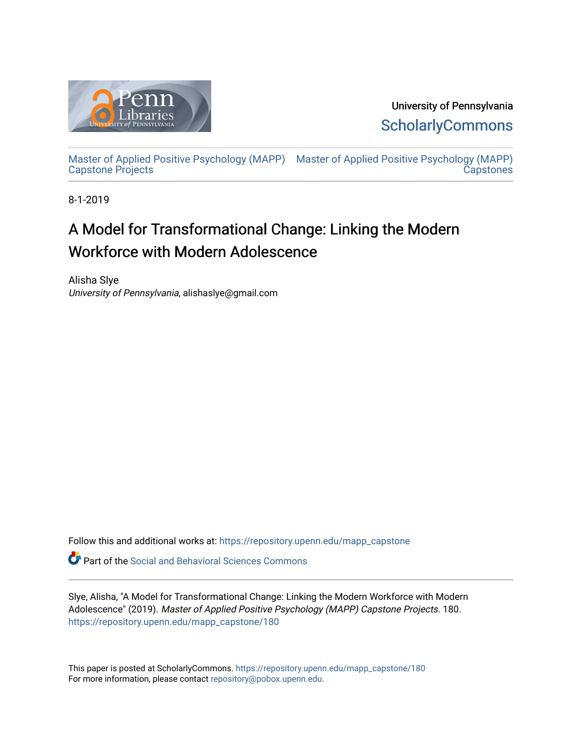

University of Pennsylvania **ScholarlyCommons** 

[Master of Applied Positive Psychology \(MAPP\)](https://repository.upenn.edu/mapp_capstone) [Master of Applied Positive Psychology \(MAPP\)](https://repository.upenn.edu/mapp_capstones)  Capstone Projects **Capstones** 

8-1-2019

# A Model for Transformational Change: Linking the Modern Workforce with Modern Adolescence

Alisha Slye University of Pennsylvania, alishaslye@gmail.com

Follow this and additional works at: [https://repository.upenn.edu/mapp\\_capstone](https://repository.upenn.edu/mapp_capstone?utm_source=repository.upenn.edu%2Fmapp_capstone%2F180&utm_medium=PDF&utm_campaign=PDFCoverPages) 

**C** Part of the Social and Behavioral Sciences Commons

Slye, Alisha, "A Model for Transformational Change: Linking the Modern Workforce with Modern Adolescence" (2019). Master of Applied Positive Psychology (MAPP) Capstone Projects. 180. [https://repository.upenn.edu/mapp\\_capstone/180](https://repository.upenn.edu/mapp_capstone/180?utm_source=repository.upenn.edu%2Fmapp_capstone%2F180&utm_medium=PDF&utm_campaign=PDFCoverPages) 

This paper is posted at ScholarlyCommons. [https://repository.upenn.edu/mapp\\_capstone/180](https://repository.upenn.edu/mapp_capstone/180)  For more information, please contact [repository@pobox.upenn.edu.](mailto:repository@pobox.upenn.edu)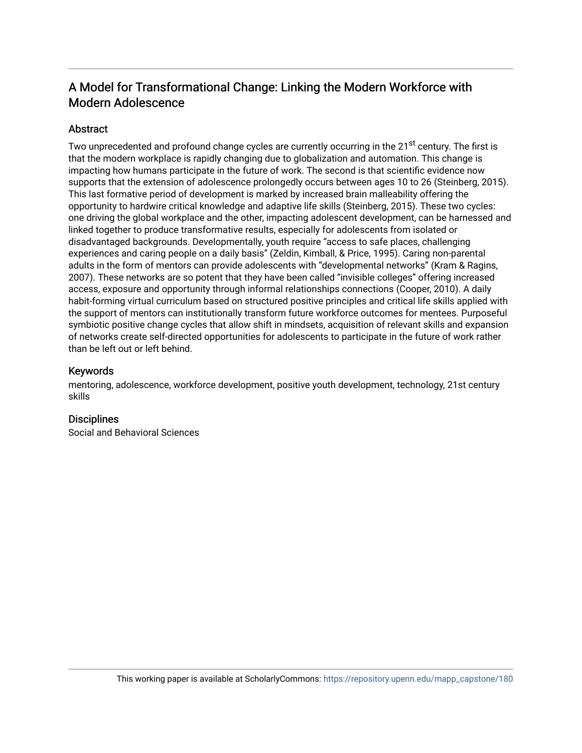# A Model for Transformational Change: Linking the Modern Workforce with Modern Adolescence

# Abstract

Two unprecedented and profound change cycles are currently occurring in the 21<sup>st</sup> century. The first is that the modern workplace is rapidly changing due to globalization and automation. This change is impacting how humans participate in the future of work. The second is that scientific evidence now supports that the extension of adolescence prolongedly occurs between ages 10 to 26 (Steinberg, 2015). This last formative period of development is marked by increased brain malleability offering the opportunity to hardwire critical knowledge and adaptive life skills (Steinberg, 2015). These two cycles: one driving the global workplace and the other, impacting adolescent development, can be harnessed and linked together to produce transformative results, especially for adolescents from isolated or disadvantaged backgrounds. Developmentally, youth require "access to safe places, challenging experiences and caring people on a daily basis" (Zeldin, Kimball, & Price, 1995). Caring non-parental adults in the form of mentors can provide adolescents with "developmental networks" (Kram & Ragins, 2007). These networks are so potent that they have been called "invisible colleges" offering increased access, exposure and opportunity through informal relationships connections (Cooper, 2010). A daily habit-forming virtual curriculum based on structured positive principles and critical life skills applied with the support of mentors can institutionally transform future workforce outcomes for mentees. Purposeful symbiotic positive change cycles that allow shift in mindsets, acquisition of relevant skills and expansion of networks create self-directed opportunities for adolescents to participate in the future of work rather than be left out or left behind.

# Keywords

mentoring, adolescence, workforce development, positive youth development, technology, 21st century skills

# **Disciplines**

Social and Behavioral Sciences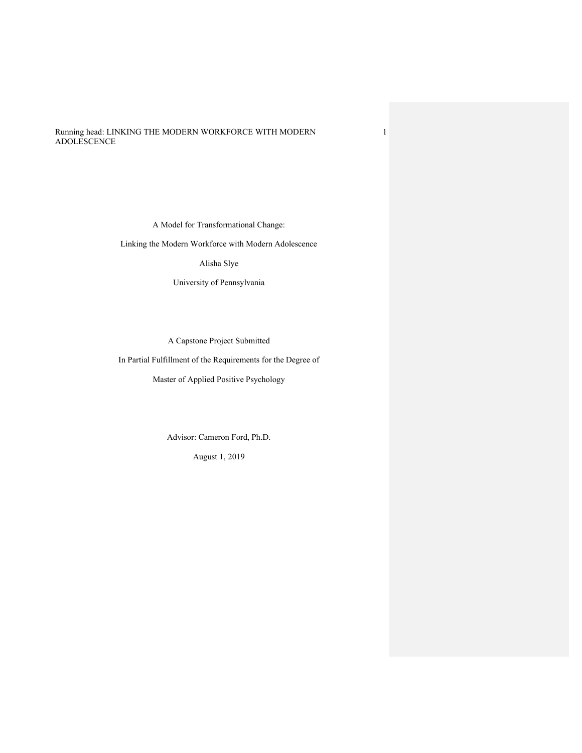Running head: LINKING THE MODERN WORKFORCE WITH MODERN ADOLESCENCE

A Model for Transformational Change:

1

Linking the Modern Workforce with Modern Adolescence

Alisha Slye

University of Pennsylvania

A Capstone Project Submitted

In Partial Fulfillment of the Requirements for the Degree of

Master of Applied Positive Psychology

Advisor: Cameron Ford, Ph.D.

August 1, 2019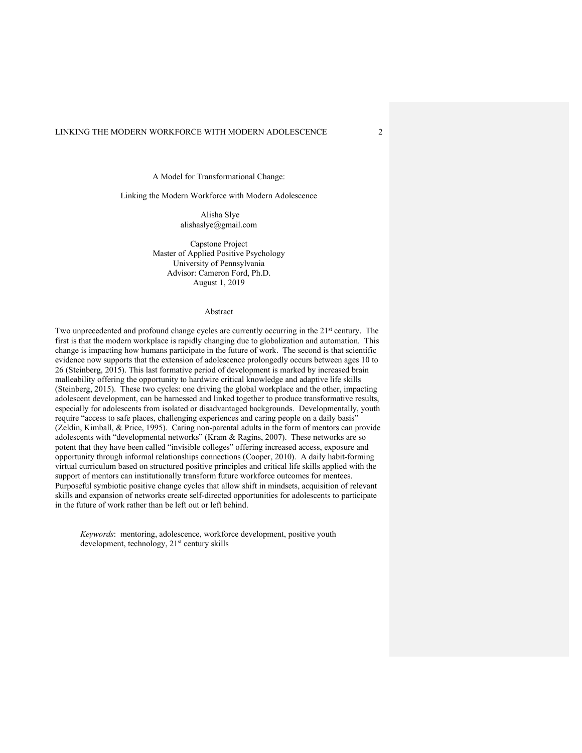A Model for Transformational Change:

#### Linking the Modern Workforce with Modern Adolescence

Alisha Slye alishaslye@gmail.com

Capstone Project Master of Applied Positive Psychology University of Pennsylvania Advisor: Cameron Ford, Ph.D. August 1, 2019

#### Abstract

Two unprecedented and profound change cycles are currently occurring in the 21<sup>st</sup> century. The first is that the modern workplace is rapidly changing due to globalization and automation. This change is impacting how humans participate in the future of work. The second is that scientific evidence now supports that the extension of adolescence prolongedly occurs between ages 10 to 26 (Steinberg, 2015). This last formative period of development is marked by increased brain malleability offering the opportunity to hardwire critical knowledge and adaptive life skills (Steinberg, 2015). These two cycles: one driving the global workplace and the other, impacting adolescent development, can be harnessed and linked together to produce transformative results, especially for adolescents from isolated or disadvantaged backgrounds. Developmentally, youth require "access to safe places, challenging experiences and caring people on a daily basis" (Zeldin, Kimball, & Price, 1995). Caring non-parental adults in the form of mentors can provide adolescents with "developmental networks" (Kram & Ragins, 2007). These networks are so potent that they have been called "invisible colleges" offering increased access, exposure and opportunity through informal relationships connections (Cooper, 2010). A daily habit-forming virtual curriculum based on structured positive principles and critical life skills applied with the support of mentors can institutionally transform future workforce outcomes for mentees. Purposeful symbiotic positive change cycles that allow shift in mindsets, acquisition of relevant skills and expansion of networks create self-directed opportunities for adolescents to participate in the future of work rather than be left out or left behind.

*Keywords*: mentoring, adolescence, workforce development, positive youth development, technology, 21<sup>st</sup> century skills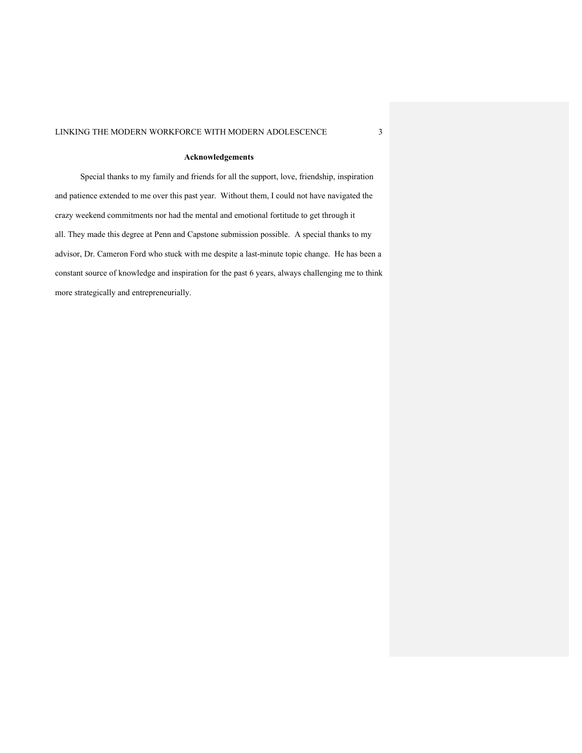# **Acknowledgements**

Special thanks to my family and friends for all the support, love, friendship, inspiration and patience extended to me over this past year. Without them, I could not have navigated the crazy weekend commitments nor had the mental and emotional fortitude to get through it all. They made this degree at Penn and Capstone submission possible. A special thanks to my advisor, Dr. Cameron Ford who stuck with me despite a last-minute topic change. He has been a constant source of knowledge and inspiration for the past 6 years, always challenging me to think more strategically and entrepreneurially.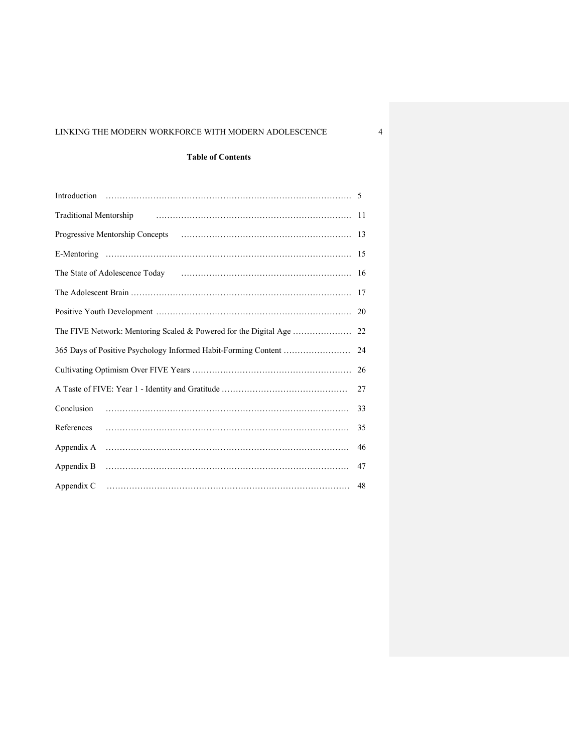# **Table of Contents**

| Traditional Mentorship Practice Communication of Mentorship      | -11 |
|------------------------------------------------------------------|-----|
|                                                                  |     |
|                                                                  |     |
|                                                                  | 16  |
|                                                                  |     |
|                                                                  | 20  |
| The FIVE Network: Mentoring Scaled & Powered for the Digital Age | 22  |
| 365 Days of Positive Psychology Informed Habit-Forming Content   | 24  |
|                                                                  | 26  |
|                                                                  | 27  |
| Conclusion                                                       | 33  |
| References                                                       | 35  |
| Appendix A                                                       | 46  |
| Appendix B                                                       | 47  |
| Appendix C                                                       | 48  |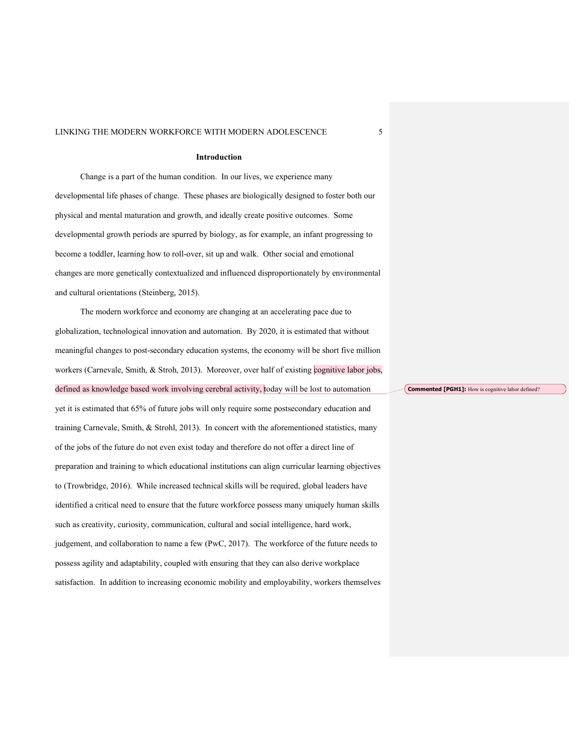#### **Introduction**

Change is a part of the human condition. In our lives, we experience many developmental life phases of change. These phases are biologically designed to foster both our physical and mental maturation and growth, and ideally create positive outcomes. Some developmental growth periods are spurred by biology, as for example, an infant progressing to become a toddler, learning how to roll-over, sit up and walk. Other social and emotional changes are more genetically contextualized and influenced disproportionately by environmental and cultural orientations (Steinberg, 2015).

The modern workforce and economy are changing at an accelerating pace due to globalization, technological innovation and automation. By 2020, it is estimated that without meaningful changes to post-secondary education systems, the economy will be short five million workers (Carnevale, Smith, & Stroh, 2013). Moreover, over half of existing cognitive labor jobs, defined as knowledge based work involving cerebral activity, today will be lost to automation yet it is estimated that 65% of future jobs will only require some postsecondary education and training Carnevale, Smith, & Strohl, 2013). In concert with the aforementioned statistics, many of the jobs of the future do not even exist today and therefore do not offer a direct line of preparation and training to which educational institutions can align curricular learning objectives to (Trowbridge, 2016). While increased technical skills will be required, global leaders have identified a critical need to ensure that the future workforce possess many uniquely human skills such as creativity, curiosity, communication, cultural and social intelligence, hard work, judgement, and collaboration to name a few (PwC, 2017). The workforce of the future needs to possess agility and adaptability, coupled with ensuring that they can also derive workplace satisfaction. In addition to increasing economic mobility and employability, workers themselves

**Commented [PGH1]:** How is cognitive labor defined?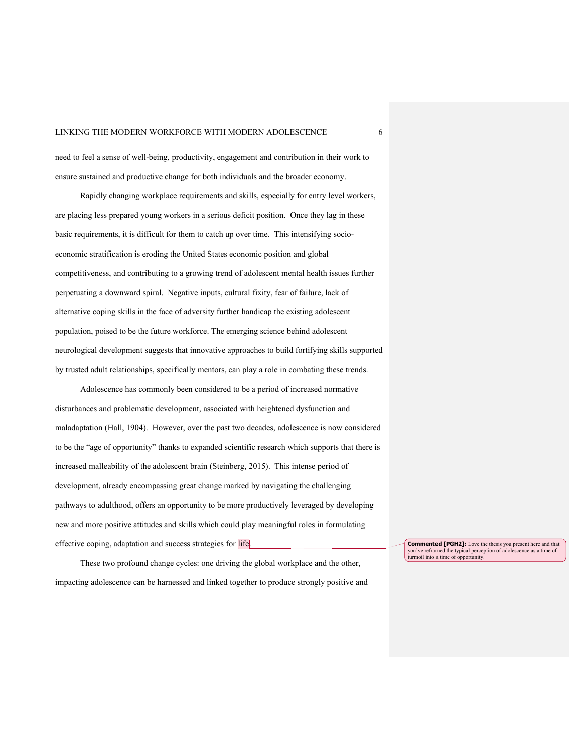need to feel a sense of well-being, productivity, engagement and contribution in their work to ensure sustained and productive change for both individuals and the broader economy.

Rapidly changing workplace requirements and skills, especially for entry level workers, are placing less prepared young workers in a serious deficit position. Once they lag in these basic requirements, it is difficult for them to catch up over time. This intensifying socioeconomic stratification is eroding the United States economic position and global competitiveness, and contributing to a growing trend of adolescent mental health issues further perpetuating a downward spiral. Negative inputs, cultural fixity, fear of failure, lack of alternative coping skills in the face of adversity further handicap the existing adolescent population, poised to be the future workforce. The emerging science behind adolescent neurological development suggests that innovative approaches to build fortifying skills supported by trusted adult relationships, specifically mentors, can play a role in combating these trends.

Adolescence has commonly been considered to be a period of increased normative disturbances and problematic development, associated with heightened dysfunction and maladaptation (Hall, 1904). However, over the past two decades, adolescence is now considered to be the "age of opportunity" thanks to expanded scientific research which supports that there is increased malleability of the adolescent brain (Steinberg, 2015). This intense period of development, already encompassing great change marked by navigating the challenging pathways to adulthood, offers an opportunity to be more productively leveraged by developing new and more positive attitudes and skills which could play meaningful roles in formulating effective coping, adaptation and success strategies for life.

These two profound change cycles: one driving the global workplace and the other, impacting adolescence can be harnessed and linked together to produce strongly positive and **Commented [PGH2]:** Love the thesis you present here and that you've reframed the typical perception of adolescence as a time of turmoil into a time of opportunity.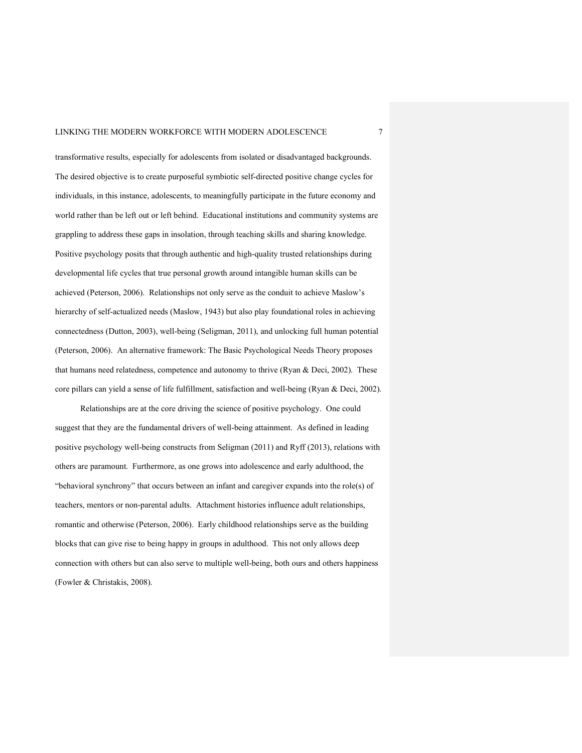transformative results, especially for adolescents from isolated or disadvantaged backgrounds. The desired objective is to create purposeful symbiotic self-directed positive change cycles for individuals, in this instance, adolescents, to meaningfully participate in the future economy and world rather than be left out or left behind. Educational institutions and community systems are grappling to address these gaps in insolation, through teaching skills and sharing knowledge. Positive psychology posits that through authentic and high-quality trusted relationships during developmental life cycles that true personal growth around intangible human skills can be achieved (Peterson, 2006). Relationships not only serve as the conduit to achieve Maslow's hierarchy of self-actualized needs (Maslow, 1943) but also play foundational roles in achieving connectedness (Dutton, 2003), well-being (Seligman, 2011), and unlocking full human potential (Peterson, 2006). An alternative framework: The Basic Psychological Needs Theory proposes that humans need relatedness, competence and autonomy to thrive (Ryan & Deci, 2002). These core pillars can yield a sense of life fulfillment, satisfaction and well-being (Ryan & Deci, 2002).

Relationships are at the core driving the science of positive psychology. One could suggest that they are the fundamental drivers of well-being attainment. As defined in leading positive psychology well-being constructs from Seligman (2011) and Ryff (2013), relations with others are paramount. Furthermore, as one grows into adolescence and early adulthood, the "behavioral synchrony" that occurs between an infant and caregiver expands into the role(s) of teachers, mentors or non-parental adults. Attachment histories influence adult relationships, romantic and otherwise (Peterson, 2006). Early childhood relationships serve as the building blocks that can give rise to being happy in groups in adulthood. This not only allows deep connection with others but can also serve to multiple well-being, both ours and others happiness (Fowler & Christakis, 2008).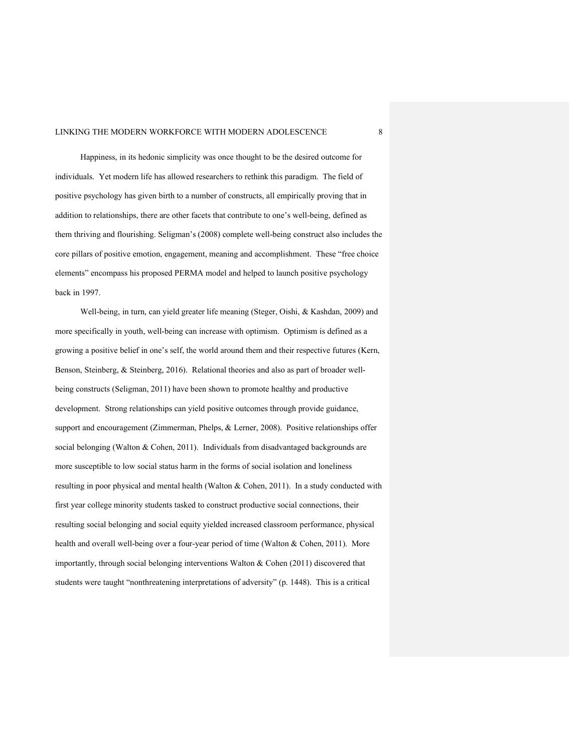Happiness, in its hedonic simplicity was once thought to be the desired outcome for individuals. Yet modern life has allowed researchers to rethink this paradigm. The field of positive psychology has given birth to a number of constructs, all empirically proving that in addition to relationships, there are other facets that contribute to one's well-being, defined as them thriving and flourishing. Seligman's (2008) complete well-being construct also includes the core pillars of positive emotion, engagement, meaning and accomplishment. These "free choice elements" encompass his proposed PERMA model and helped to launch positive psychology back in 1997.

Well-being, in turn, can yield greater life meaning (Steger, Oishi, & Kashdan, 2009) and more specifically in youth, well-being can increase with optimism. Optimism is defined as a growing a positive belief in one's self, the world around them and their respective futures (Kern, Benson, Steinberg, & Steinberg, 2016). Relational theories and also as part of broader wellbeing constructs (Seligman, 2011) have been shown to promote healthy and productive development. Strong relationships can yield positive outcomes through provide guidance, support and encouragement (Zimmerman, Phelps, & Lerner, 2008). Positive relationships offer social belonging (Walton & Cohen, 2011). Individuals from disadvantaged backgrounds are more susceptible to low social status harm in the forms of social isolation and loneliness resulting in poor physical and mental health (Walton & Cohen, 2011). In a study conducted with first year college minority students tasked to construct productive social connections, their resulting social belonging and social equity yielded increased classroom performance, physical health and overall well-being over a four-year period of time (Walton & Cohen, 2011). More importantly, through social belonging interventions Walton & Cohen (2011) discovered that students were taught "nonthreatening interpretations of adversity" (p. 1448). This is a critical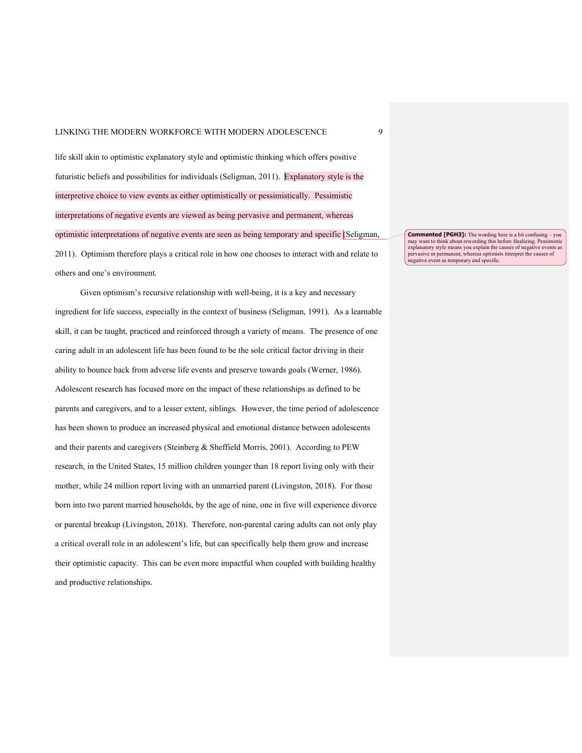life skill akin to optimistic explanatory style and optimistic thinking which offers positive futuristic beliefs and possibilities for individuals (Seligman, 2011). Explanatory style is the interpretive choice to view events as either optimistically or pessimistically. Pessimistic interpretations of negative events are viewed as being pervasive and permanent, whereas optimistic interpretations of negative events are seen as being temporary and specific (Seligman, 2011). Optimism therefore plays a critical role in how one chooses to interact with and relate to others and one's environment.

Given optimism's recursive relationship with well-being, it is a key and necessary ingredient for life success, especially in the context of business (Seligman, 1991). As a learnable skill, it can be taught, practiced and reinforced through a variety of means. The presence of one caring adult in an adolescent life has been found to be the sole critical factor driving in their ability to bounce back from adverse life events and preserve towards goals (Werner, 1986). Adolescent research has focused more on the impact of these relationships as defined to be parents and caregivers, and to a lesser extent, siblings. However, the time period of adolescence has been shown to produce an increased physical and emotional distance between adolescents and their parents and caregivers (Steinberg & Sheffield Morris, 2001). According to PEW research, in the United States, 15 million children younger than 18 report living only with their mother, while 24 million report living with an unmarried parent (Livingston, 2018). For those born into two parent married households, by the age of nine, one in five will experience divorce or parental breakup (Livingston, 2018). Therefore, non-parental caring adults can not only play a critical overall role in an adolescent's life, but can specifically help them grow and increase their optimistic capacity. This can be even more impactful when coupled with building healthy and productive relationships.

**Commented [PGH3]:** The wording here is a bit confusing – you may want to think about rewording this before finalizing. Pessimistic explanatory style means you explain the causes of negative events as pervasive or permanent, whereas optimists interpret the causes of negative event as temporary and specific.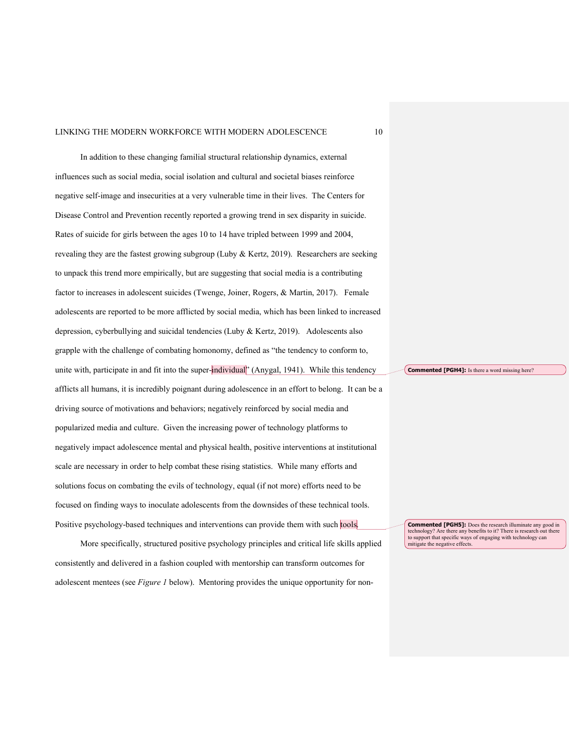In addition to these changing familial structural relationship dynamics, external influences such as social media, social isolation and cultural and societal biases reinforce negative self-image and insecurities at a very vulnerable time in their lives. The Centers for Disease Control and Prevention recently reported a growing trend in sex disparity in suicide. Rates of suicide for girls between the ages 10 to 14 have tripled between 1999 and 2004, revealing they are the fastest growing subgroup (Luby & Kertz, 2019). Researchers are seeking to unpack this trend more empirically, but are suggesting that social media is a contributing factor to increases in adolescent suicides (Twenge, Joiner, Rogers, & Martin, 2017). Female adolescents are reported to be more afflicted by social media, which has been linked to increased depression, cyberbullying and suicidal tendencies (Luby & Kertz, 2019). Adolescents also grapple with the challenge of combating homonomy, defined as "the tendency to conform to, unite with, participate in and fit into the super-individual<sup>\*</sup> (Anygal, 1941). While this tendency afflicts all humans, it is incredibly poignant during adolescence in an effort to belong. It can be a driving source of motivations and behaviors; negatively reinforced by social media and popularized media and culture. Given the increasing power of technology platforms to negatively impact adolescence mental and physical health, positive interventions at institutional scale are necessary in order to help combat these rising statistics. While many efforts and solutions focus on combating the evils of technology, equal (if not more) efforts need to be focused on finding ways to inoculate adolescents from the downsides of these technical tools. Positive psychology-based techniques and interventions can provide them with such tools.

More specifically, structured positive psychology principles and critical life skills applied consistently and delivered in a fashion coupled with mentorship can transform outcomes for adolescent mentees (see *Figure 1* below). Mentoring provides the unique opportunity for non**Commented [PGH4]:** Is there a word missing here?

**Commented [PGH5]:** Does the research illuminate any good in technology? Are there any benefits to it? There is research out there to support that specific ways of engaging with technology can mitigate the negative effects.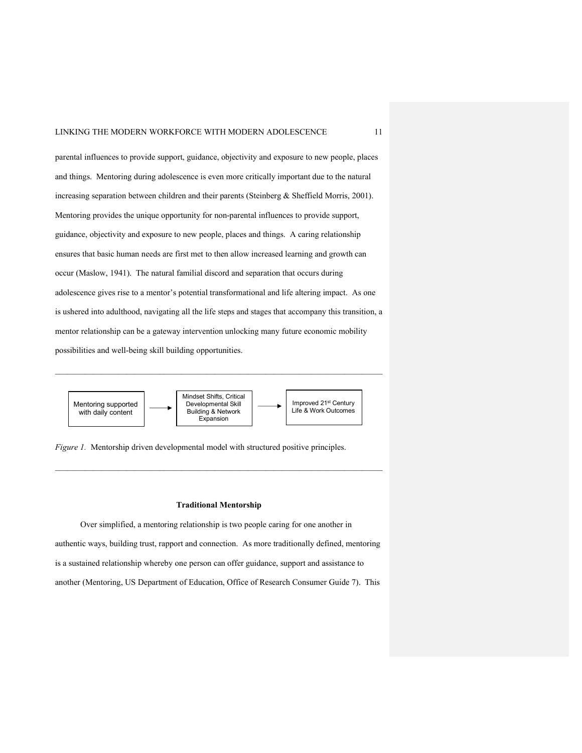parental influences to provide support, guidance, objectivity and exposure to new people, places and things. Mentoring during adolescence is even more critically important due to the natural increasing separation between children and their parents (Steinberg & Sheffield Morris, 2001). Mentoring provides the unique opportunity for non-parental influences to provide support, guidance, objectivity and exposure to new people, places and things. A caring relationship ensures that basic human needs are first met to then allow increased learning and growth can occur (Maslow, 1941). The natural familial discord and separation that occurs during adolescence gives rise to a mentor's potential transformational and life altering impact. As one is ushered into adulthood, navigating all the life steps and stages that accompany this transition, a mentor relationship can be a gateway intervention unlocking many future economic mobility possibilities and well-being skill building opportunities.



*Figure 1.* Mentorship driven developmental model with structured positive principles.

#### **Traditional Mentorship**

Over simplified, a mentoring relationship is two people caring for one another in authentic ways, building trust, rapport and connection. As more traditionally defined, mentoring is a sustained relationship whereby one person can offer guidance, support and assistance to another (Mentoring, US Department of Education, Office of Research Consumer Guide 7). This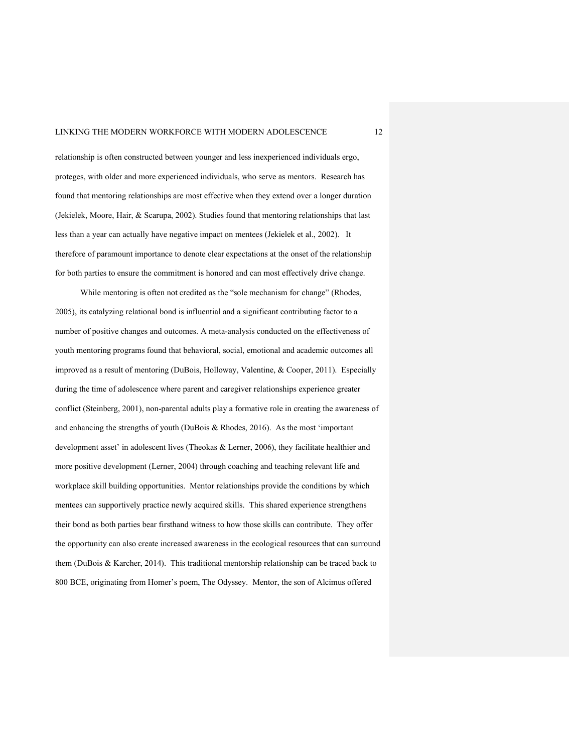relationship is often constructed between younger and less inexperienced individuals ergo, proteges, with older and more experienced individuals, who serve as mentors. Research has found that mentoring relationships are most effective when they extend over a longer duration (Jekielek, Moore, Hair, & Scarupa, 2002). Studies found that mentoring relationships that last less than a year can actually have negative impact on mentees (Jekielek et al., 2002). It therefore of paramount importance to denote clear expectations at the onset of the relationship for both parties to ensure the commitment is honored and can most effectively drive change.

While mentoring is often not credited as the "sole mechanism for change" (Rhodes, 2005), its catalyzing relational bond is influential and a significant contributing factor to a number of positive changes and outcomes. A meta-analysis conducted on the effectiveness of youth mentoring programs found that behavioral, social, emotional and academic outcomes all improved as a result of mentoring (DuBois, Holloway, Valentine, & Cooper, 2011). Especially during the time of adolescence where parent and caregiver relationships experience greater conflict (Steinberg, 2001), non-parental adults play a formative role in creating the awareness of and enhancing the strengths of youth (DuBois & Rhodes, 2016). As the most 'important development asset' in adolescent lives (Theokas & Lerner, 2006), they facilitate healthier and more positive development (Lerner, 2004) through coaching and teaching relevant life and workplace skill building opportunities. Mentor relationships provide the conditions by which mentees can supportively practice newly acquired skills. This shared experience strengthens their bond as both parties bear firsthand witness to how those skills can contribute. They offer the opportunity can also create increased awareness in the ecological resources that can surround them (DuBois & Karcher, 2014). This traditional mentorship relationship can be traced back to 800 BCE, originating from Homer's poem, The Odyssey. Mentor, the son of Alcimus offered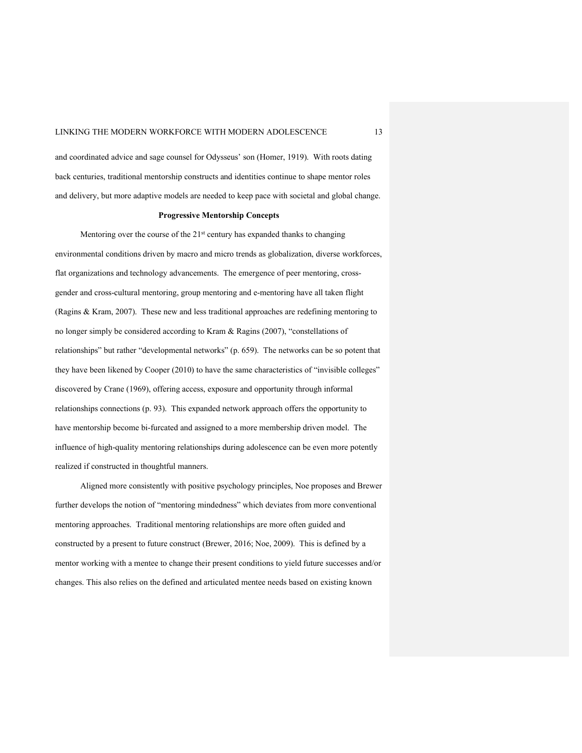and coordinated advice and sage counsel for Odysseus' son (Homer, 1919). With roots dating back centuries, traditional mentorship constructs and identities continue to shape mentor roles and delivery, but more adaptive models are needed to keep pace with societal and global change.

#### **Progressive Mentorship Concepts**

Mentoring over the course of the  $21<sup>st</sup>$  century has expanded thanks to changing environmental conditions driven by macro and micro trends as globalization, diverse workforces, flat organizations and technology advancements. The emergence of peer mentoring, crossgender and cross-cultural mentoring, group mentoring and e-mentoring have all taken flight (Ragins & Kram, 2007). These new and less traditional approaches are redefining mentoring to no longer simply be considered according to Kram & Ragins (2007), "constellations of relationships" but rather "developmental networks" (p. 659). The networks can be so potent that they have been likened by Cooper (2010) to have the same characteristics of "invisible colleges" discovered by Crane (1969), offering access, exposure and opportunity through informal relationships connections (p. 93). This expanded network approach offers the opportunity to have mentorship become bi-furcated and assigned to a more membership driven model. The influence of high-quality mentoring relationships during adolescence can be even more potently realized if constructed in thoughtful manners.

Aligned more consistently with positive psychology principles, Noe proposes and Brewer further develops the notion of "mentoring mindedness" which deviates from more conventional mentoring approaches. Traditional mentoring relationships are more often guided and constructed by a present to future construct (Brewer, 2016; Noe, 2009). This is defined by a mentor working with a mentee to change their present conditions to yield future successes and/or changes. This also relies on the defined and articulated mentee needs based on existing known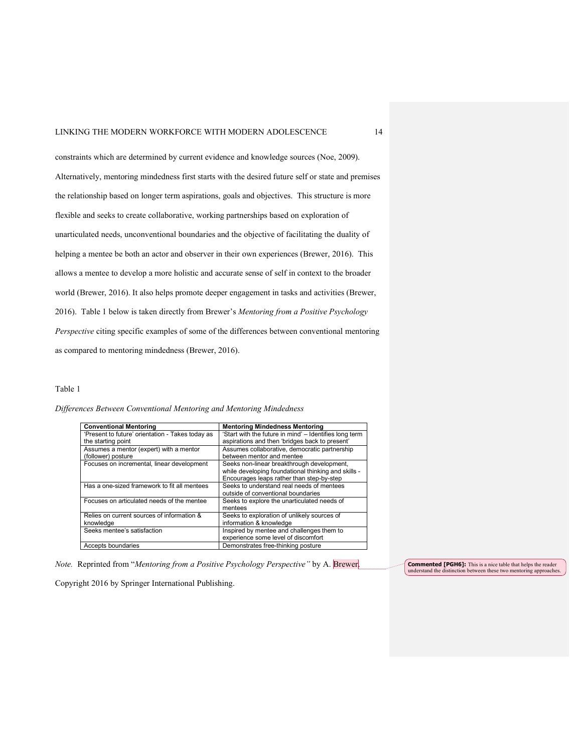constraints which are determined by current evidence and knowledge sources (Noe, 2009). Alternatively, mentoring mindedness first starts with the desired future self or state and premises the relationship based on longer term aspirations, goals and objectives. This structure is more flexible and seeks to create collaborative, working partnerships based on exploration of unarticulated needs, unconventional boundaries and the objective of facilitating the duality of helping a mentee be both an actor and observer in their own experiences (Brewer, 2016). This allows a mentee to develop a more holistic and accurate sense of self in context to the broader world (Brewer, 2016). It also helps promote deeper engagement in tasks and activities (Brewer, 2016). Table 1 below is taken directly from Brewer's *Mentoring from a Positive Psychology Perspective* citing specific examples of some of the differences between conventional mentoring as compared to mentoring mindedness (Brewer, 2016).

#### Table 1

*Differences Between Conventional Mentoring and Mentoring Mindedness*

| <b>Conventional Mentoring</b>                           | <b>Mentoring Mindedness Mentoring</b>                                                                                                          |
|---------------------------------------------------------|------------------------------------------------------------------------------------------------------------------------------------------------|
| 'Present to future' orientation - Takes today as        | 'Start with the future in mind' - Identifies long term                                                                                         |
| the starting point                                      | aspirations and then 'bridges back to present'                                                                                                 |
| Assumes a mentor (expert) with a mentor                 | Assumes collaborative, democratic partnership                                                                                                  |
| (follower) posture                                      | between mentor and mentee                                                                                                                      |
| Focuses on incremental, linear development              | Seeks non-linear breakthrough development,<br>while developing foundational thinking and skills -<br>Encourages leaps rather than step-by-step |
| Has a one-sized framework to fit all mentees            | Seeks to understand real needs of mentees<br>outside of conventional boundaries                                                                |
| Focuses on articulated needs of the mentee              | Seeks to explore the unarticulated needs of<br>mentees                                                                                         |
| Relies on current sources of information &<br>knowledge | Seeks to exploration of unlikely sources of<br>information & knowledge                                                                         |
| Seeks mentee's satisfaction                             | Inspired by mentee and challenges them to<br>experience some level of discomfort                                                               |
| Accepts boundaries                                      | Demonstrates free-thinking posture                                                                                                             |

*Note.* Reprinted from "*Mentoring from a Positive Psychology Perspective"* by A. Brewer.

**Commented [PGH6]:** This is a nice table that helps the reader understand the distinction between these two mentoring approaches.

Copyright 2016 by Springer International Publishing.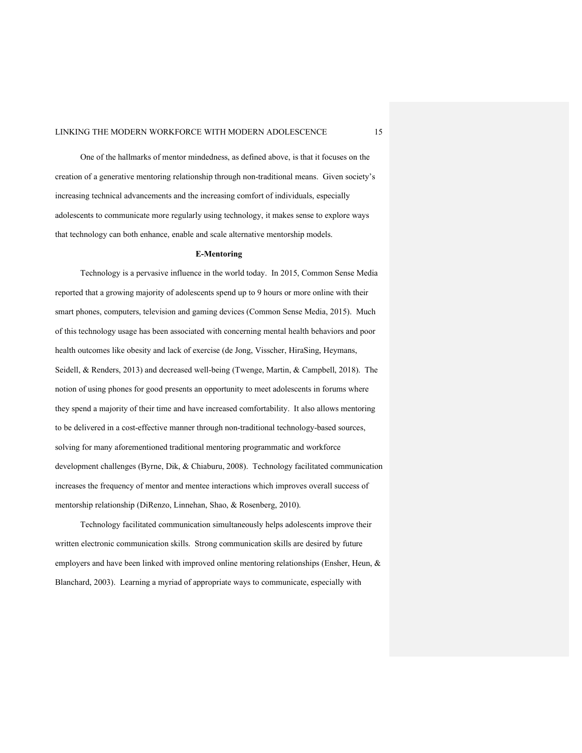One of the hallmarks of mentor mindedness, as defined above, is that it focuses on the creation of a generative mentoring relationship through non-traditional means. Given society's increasing technical advancements and the increasing comfort of individuals, especially adolescents to communicate more regularly using technology, it makes sense to explore ways that technology can both enhance, enable and scale alternative mentorship models.

#### **E-Mentoring**

Technology is a pervasive influence in the world today. In 2015, Common Sense Media reported that a growing majority of adolescents spend up to 9 hours or more online with their smart phones, computers, television and gaming devices (Common Sense Media, 2015). Much of this technology usage has been associated with concerning mental health behaviors and poor health outcomes like obesity and lack of exercise (de Jong, Visscher, HiraSing, Heymans, Seidell, & Renders, 2013) and decreased well-being (Twenge, Martin, & Campbell, 2018). The notion of using phones for good presents an opportunity to meet adolescents in forums where they spend a majority of their time and have increased comfortability. It also allows mentoring to be delivered in a cost-effective manner through non-traditional technology-based sources, solving for many aforementioned traditional mentoring programmatic and workforce development challenges (Byrne, Dik, & Chiaburu, 2008). Technology facilitated communication increases the frequency of mentor and mentee interactions which improves overall success of mentorship relationship (DiRenzo, Linnehan, Shao, & Rosenberg, 2010).

Technology facilitated communication simultaneously helps adolescents improve their written electronic communication skills. Strong communication skills are desired by future employers and have been linked with improved online mentoring relationships (Ensher, Heun, & Blanchard, 2003). Learning a myriad of appropriate ways to communicate, especially with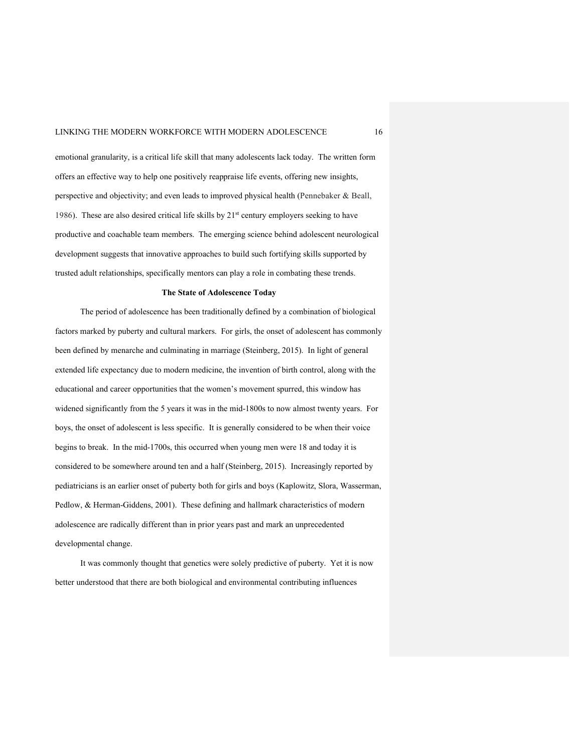emotional granularity, is a critical life skill that many adolescents lack today. The written form offers an effective way to help one positively reappraise life events, offering new insights, perspective and objectivity; and even leads to improved physical health (Pennebaker & Beall, 1986). These are also desired critical life skills by 21<sup>st</sup> century employers seeking to have productive and coachable team members. The emerging science behind adolescent neurological development suggests that innovative approaches to build such fortifying skills supported by trusted adult relationships, specifically mentors can play a role in combating these trends.

#### **The State of Adolescence Today**

The period of adolescence has been traditionally defined by a combination of biological factors marked by puberty and cultural markers. For girls, the onset of adolescent has commonly been defined by menarche and culminating in marriage (Steinberg, 2015). In light of general extended life expectancy due to modern medicine, the invention of birth control, along with the educational and career opportunities that the women's movement spurred, this window has widened significantly from the 5 years it was in the mid-1800s to now almost twenty years. For boys, the onset of adolescent is less specific. It is generally considered to be when their voice begins to break. In the mid-1700s, this occurred when young men were 18 and today it is considered to be somewhere around ten and a half (Steinberg, 2015). Increasingly reported by pediatricians is an earlier onset of puberty both for girls and boys (Kaplowitz, Slora, Wasserman, Pedlow, & Herman-Giddens, 2001). These defining and hallmark characteristics of modern adolescence are radically different than in prior years past and mark an unprecedented developmental change.

It was commonly thought that genetics were solely predictive of puberty. Yet it is now better understood that there are both biological and environmental contributing influences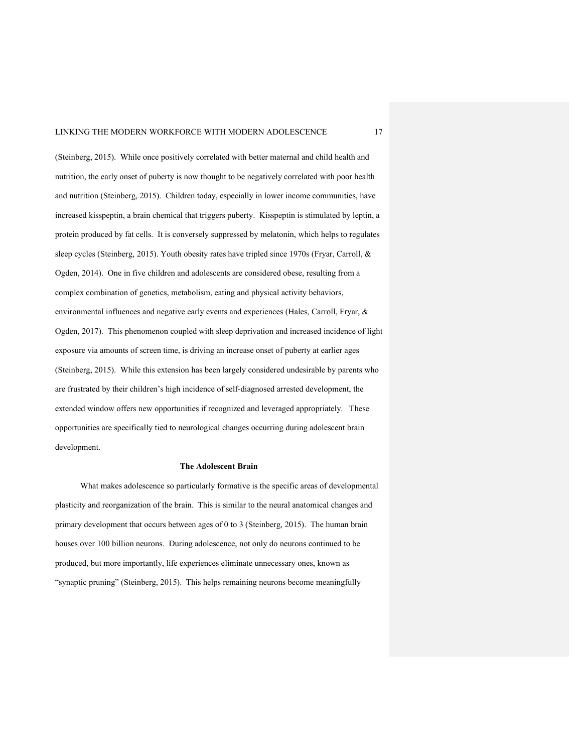(Steinberg, 2015). While once positively correlated with better maternal and child health and nutrition, the early onset of puberty is now thought to be negatively correlated with poor health and nutrition (Steinberg, 2015). Children today, especially in lower income communities, have increased kisspeptin, a brain chemical that triggers puberty. Kisspeptin is stimulated by leptin, a protein produced by fat cells. It is conversely suppressed by melatonin, which helps to regulates sleep cycles (Steinberg, 2015). Youth obesity rates have tripled since 1970s (Fryar, Carroll, & Ogden, 2014). One in five children and adolescents are considered obese, resulting from a complex combination of genetics, metabolism, eating and physical activity behaviors, environmental influences and negative early events and experiences (Hales, Carroll, Fryar, & Ogden, 2017). This phenomenon coupled with sleep deprivation and increased incidence of light exposure via amounts of screen time, is driving an increase onset of puberty at earlier ages (Steinberg, 2015). While this extension has been largely considered undesirable by parents who are frustrated by their children's high incidence of self-diagnosed arrested development, the extended window offers new opportunities if recognized and leveraged appropriately. These opportunities are specifically tied to neurological changes occurring during adolescent brain development.

#### **The Adolescent Brain**

What makes adolescence so particularly formative is the specific areas of developmental plasticity and reorganization of the brain. This is similar to the neural anatomical changes and primary development that occurs between ages of 0 to 3 (Steinberg, 2015). The human brain houses over 100 billion neurons. During adolescence, not only do neurons continued to be produced, but more importantly, life experiences eliminate unnecessary ones, known as "synaptic pruning" (Steinberg, 2015). This helps remaining neurons become meaningfully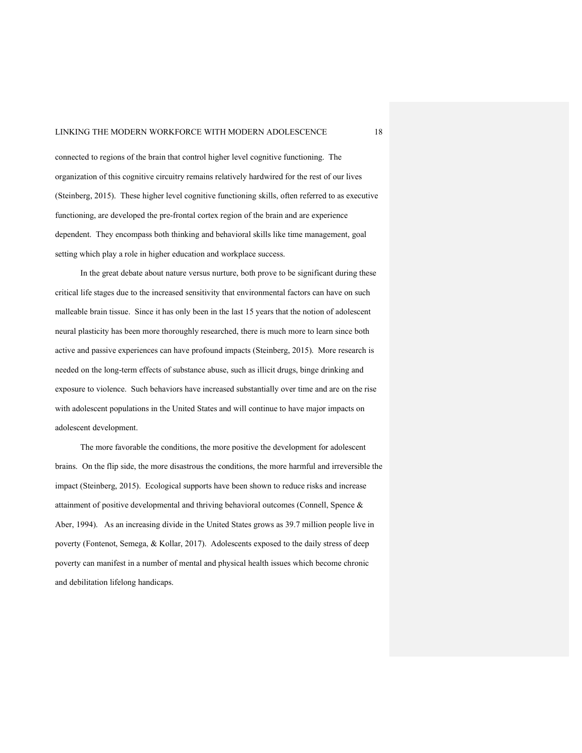connected to regions of the brain that control higher level cognitive functioning. The organization of this cognitive circuitry remains relatively hardwired for the rest of our lives (Steinberg, 2015). These higher level cognitive functioning skills, often referred to as executive functioning, are developed the pre-frontal cortex region of the brain and are experience dependent. They encompass both thinking and behavioral skills like time management, goal setting which play a role in higher education and workplace success.

In the great debate about nature versus nurture, both prove to be significant during these critical life stages due to the increased sensitivity that environmental factors can have on such malleable brain tissue. Since it has only been in the last 15 years that the notion of adolescent neural plasticity has been more thoroughly researched, there is much more to learn since both active and passive experiences can have profound impacts (Steinberg, 2015). More research is needed on the long-term effects of substance abuse, such as illicit drugs, binge drinking and exposure to violence. Such behaviors have increased substantially over time and are on the rise with adolescent populations in the United States and will continue to have major impacts on adolescent development.

The more favorable the conditions, the more positive the development for adolescent brains. On the flip side, the more disastrous the conditions, the more harmful and irreversible the impact (Steinberg, 2015). Ecological supports have been shown to reduce risks and increase attainment of positive developmental and thriving behavioral outcomes (Connell, Spence & Aber, 1994). As an increasing divide in the United States grows as 39.7 million people live in poverty (Fontenot, Semega, & Kollar, 2017). Adolescents exposed to the daily stress of deep poverty can manifest in a number of mental and physical health issues which become chronic and debilitation lifelong handicaps.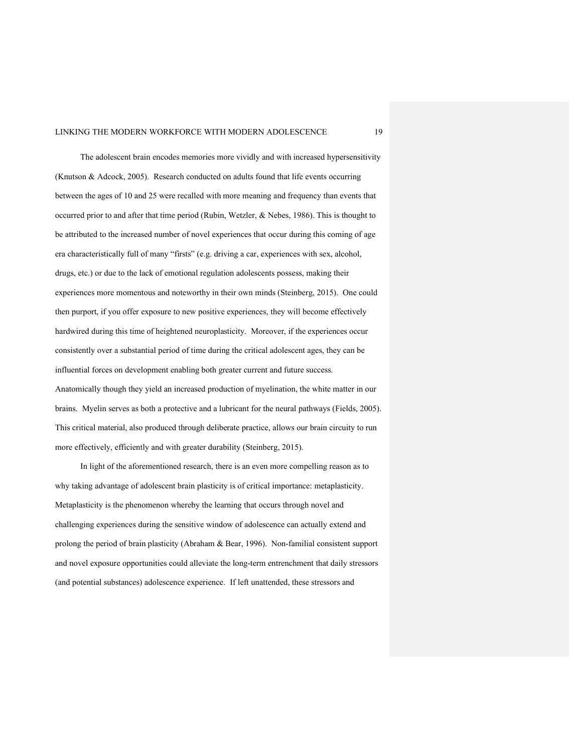The adolescent brain encodes memories more vividly and with increased hypersensitivity (Knutson & Adcock, 2005). Research conducted on adults found that life events occurring between the ages of 10 and 25 were recalled with more meaning and frequency than events that occurred prior to and after that time period (Rubin, Wetzler, & Nebes, 1986). This is thought to be attributed to the increased number of novel experiences that occur during this coming of age era characteristically full of many "firsts" (e.g. driving a car, experiences with sex, alcohol, drugs, etc.) or due to the lack of emotional regulation adolescents possess, making their experiences more momentous and noteworthy in their own minds (Steinberg, 2015). One could then purport, if you offer exposure to new positive experiences, they will become effectively hardwired during this time of heightened neuroplasticity. Moreover, if the experiences occur consistently over a substantial period of time during the critical adolescent ages, they can be influential forces on development enabling both greater current and future success. Anatomically though they yield an increased production of myelination, the white matter in our brains. Myelin serves as both a protective and a lubricant for the neural pathways (Fields, 2005). This critical material, also produced through deliberate practice, allows our brain circuity to run more effectively, efficiently and with greater durability (Steinberg, 2015).

In light of the aforementioned research, there is an even more compelling reason as to why taking advantage of adolescent brain plasticity is of critical importance: metaplasticity. Metaplasticity is the phenomenon whereby the learning that occurs through novel and challenging experiences during the sensitive window of adolescence can actually extend and prolong the period of brain plasticity (Abraham & Bear, 1996). Non-familial consistent support and novel exposure opportunities could alleviate the long-term entrenchment that daily stressors (and potential substances) adolescence experience. If left unattended, these stressors and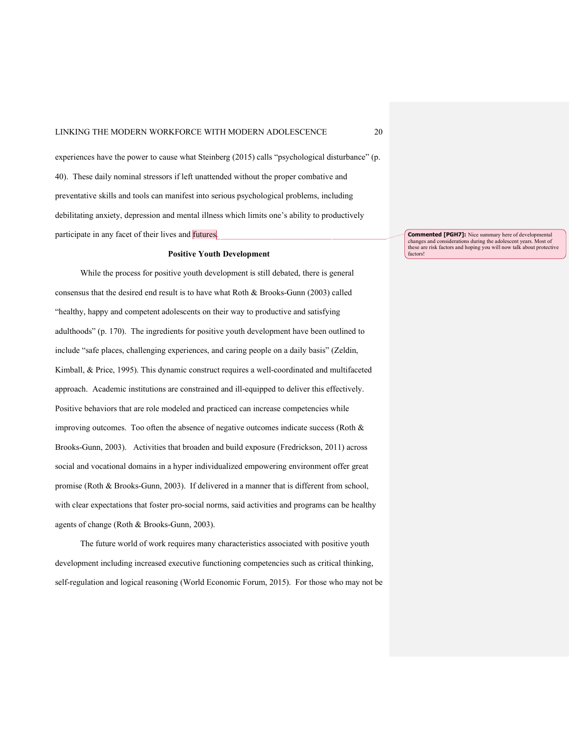experiences have the power to cause what Steinberg (2015) calls "psychological disturbance" (p. 40). These daily nominal stressors if left unattended without the proper combative and preventative skills and tools can manifest into serious psychological problems, including debilitating anxiety, depression and mental illness which limits one's ability to productively participate in any facet of their lives and futures.

#### **Positive Youth Development**

While the process for positive youth development is still debated, there is general consensus that the desired end result is to have what Roth & Brooks-Gunn (2003) called "healthy, happy and competent adolescents on their way to productive and satisfying adulthoods" (p. 170). The ingredients for positive youth development have been outlined to include "safe places, challenging experiences, and caring people on a daily basis" (Zeldin, Kimball, & Price, 1995). This dynamic construct requires a well-coordinated and multifaceted approach. Academic institutions are constrained and ill-equipped to deliver this effectively. Positive behaviors that are role modeled and practiced can increase competencies while improving outcomes. Too often the absence of negative outcomes indicate success (Roth & Brooks-Gunn, 2003). Activities that broaden and build exposure (Fredrickson, 2011) across social and vocational domains in a hyper individualized empowering environment offer great promise (Roth & Brooks-Gunn, 2003). If delivered in a manner that is different from school, with clear expectations that foster pro-social norms, said activities and programs can be healthy agents of change (Roth & Brooks-Gunn, 2003).

The future world of work requires many characteristics associated with positive youth development including increased executive functioning competencies such as critical thinking, self-regulation and logical reasoning (World Economic Forum, 2015). For those who may not be

**Commented [PGH7]:** Nice summary here of developmental changes and considerations during the adolescent years. Most of these are risk factors and hoping you will now talk about protective factors!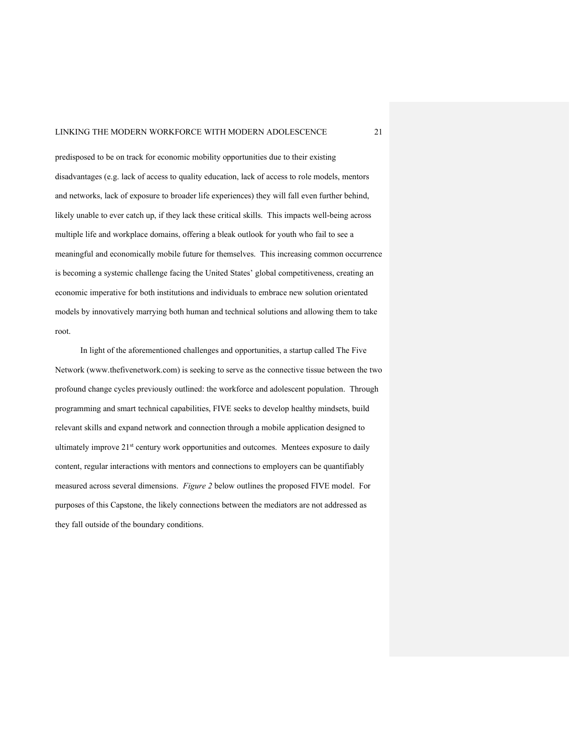predisposed to be on track for economic mobility opportunities due to their existing disadvantages (e.g. lack of access to quality education, lack of access to role models, mentors and networks, lack of exposure to broader life experiences) they will fall even further behind, likely unable to ever catch up, if they lack these critical skills. This impacts well-being across multiple life and workplace domains, offering a bleak outlook for youth who fail to see a meaningful and economically mobile future for themselves. This increasing common occurrence is becoming a systemic challenge facing the United States' global competitiveness, creating an economic imperative for both institutions and individuals to embrace new solution orientated models by innovatively marrying both human and technical solutions and allowing them to take root.

In light of the aforementioned challenges and opportunities, a startup called The Five Network (www.thefivenetwork.com) is seeking to serve as the connective tissue between the two profound change cycles previously outlined: the workforce and adolescent population. Through programming and smart technical capabilities, FIVE seeks to develop healthy mindsets, build relevant skills and expand network and connection through a mobile application designed to ultimately improve 21<sup>st</sup> century work opportunities and outcomes. Mentees exposure to daily content, regular interactions with mentors and connections to employers can be quantifiably measured across several dimensions. *Figure 2* below outlines the proposed FIVE model. For purposes of this Capstone, the likely connections between the mediators are not addressed as they fall outside of the boundary conditions.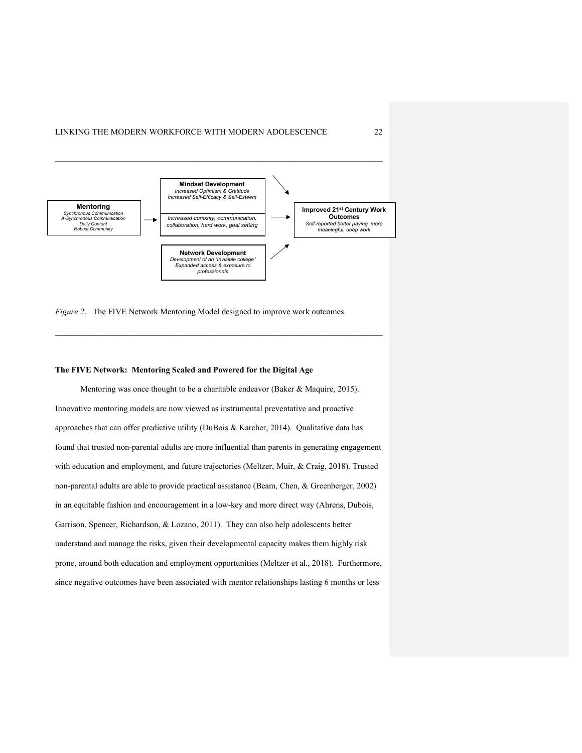

 $\mathcal{L}_\text{max}$ 

*Figure 2*. The FIVE Network Mentoring Model designed to improve work outcomes.

#### **The FIVE Network: Mentoring Scaled and Powered for the Digital Age**

Mentoring was once thought to be a charitable endeavor (Baker & Maquire, 2015). Innovative mentoring models are now viewed as instrumental preventative and proactive approaches that can offer predictive utility (DuBois & Karcher, 2014). Qualitative data has found that trusted non-parental adults are more influential than parents in generating engagement with education and employment, and future trajectories (Meltzer, Muir, & Craig, 2018). Trusted non-parental adults are able to provide practical assistance (Beam, Chen, & Greenberger, 2002) in an equitable fashion and encouragement in a low-key and more direct way (Ahrens, Dubois, Garrison, Spencer, Richardson, & Lozano, 2011). They can also help adolescents better understand and manage the risks, given their developmental capacity makes them highly risk prone, around both education and employment opportunities (Meltzer et al., 2018). Furthermore, since negative outcomes have been associated with mentor relationships lasting 6 months or less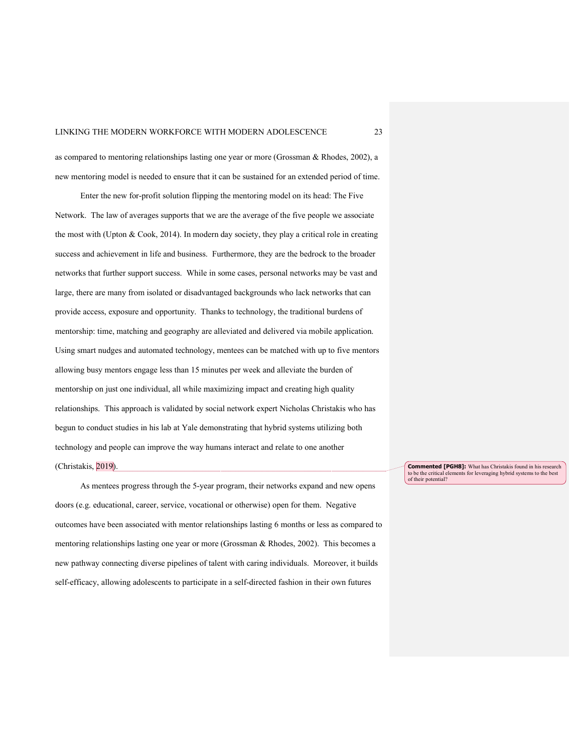as compared to mentoring relationships lasting one year or more (Grossman & Rhodes, 2002), a new mentoring model is needed to ensure that it can be sustained for an extended period of time.

Enter the new for-profit solution flipping the mentoring model on its head: The Five Network. The law of averages supports that we are the average of the five people we associate the most with (Upton & Cook, 2014). In modern day society, they play a critical role in creating success and achievement in life and business. Furthermore, they are the bedrock to the broader networks that further support success. While in some cases, personal networks may be vast and large, there are many from isolated or disadvantaged backgrounds who lack networks that can provide access, exposure and opportunity. Thanks to technology, the traditional burdens of mentorship: time, matching and geography are alleviated and delivered via mobile application. Using smart nudges and automated technology, mentees can be matched with up to five mentors allowing busy mentors engage less than 15 minutes per week and alleviate the burden of mentorship on just one individual, all while maximizing impact and creating high quality relationships. This approach is validated by social network expert Nicholas Christakis who has begun to conduct studies in his lab at Yale demonstrating that hybrid systems utilizing both technology and people can improve the way humans interact and relate to one another (Christakis, 2019).

As mentees progress through the 5-year program, their networks expand and new opens doors (e.g. educational, career, service, vocational or otherwise) open for them. Negative outcomes have been associated with mentor relationships lasting 6 months or less as compared to mentoring relationships lasting one year or more (Grossman & Rhodes, 2002). This becomes a new pathway connecting diverse pipelines of talent with caring individuals. Moreover, it builds self-efficacy, allowing adolescents to participate in a self-directed fashion in their own futures

**Commented [PGH8]:** What has Christakis found in his research to be the critical elements for leveraging hybrid systems to the best of their potential?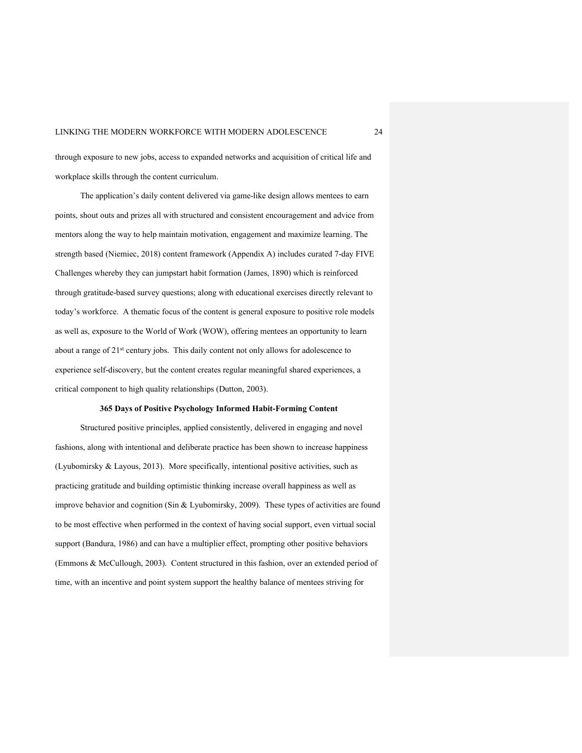through exposure to new jobs, access to expanded networks and acquisition of critical life and workplace skills through the content curriculum.

The application's daily content delivered via game-like design allows mentees to earn points, shout outs and prizes all with structured and consistent encouragement and advice from mentors along the way to help maintain motivation, engagement and maximize learning. The strength based (Niemiec, 2018) content framework (Appendix A) includes curated 7-day FIVE Challenges whereby they can jumpstart habit formation (James, 1890) which is reinforced through gratitude-based survey questions; along with educational exercises directly relevant to today's workforce. A thematic focus of the content is general exposure to positive role models as well as, exposure to the World of Work (WOW), offering mentees an opportunity to learn about a range of 21<sup>st</sup> century jobs. This daily content not only allows for adolescence to experience self-discovery, but the content creates regular meaningful shared experiences, a critical component to high quality relationships (Dutton, 2003).

#### **365 Days of Positive Psychology Informed Habit-Forming Content**

Structured positive principles, applied consistently, delivered in engaging and novel fashions, along with intentional and deliberate practice has been shown to increase happiness (Lyubomirsky & Layous, 2013). More specifically, intentional positive activities, such as practicing gratitude and building optimistic thinking increase overall happiness as well as improve behavior and cognition (Sin & Lyubomirsky, 2009). These types of activities are found to be most effective when performed in the context of having social support, even virtual social support (Bandura, 1986) and can have a multiplier effect, prompting other positive behaviors (Emmons & McCullough, 2003). Content structured in this fashion, over an extended period of time, with an incentive and point system support the healthy balance of mentees striving for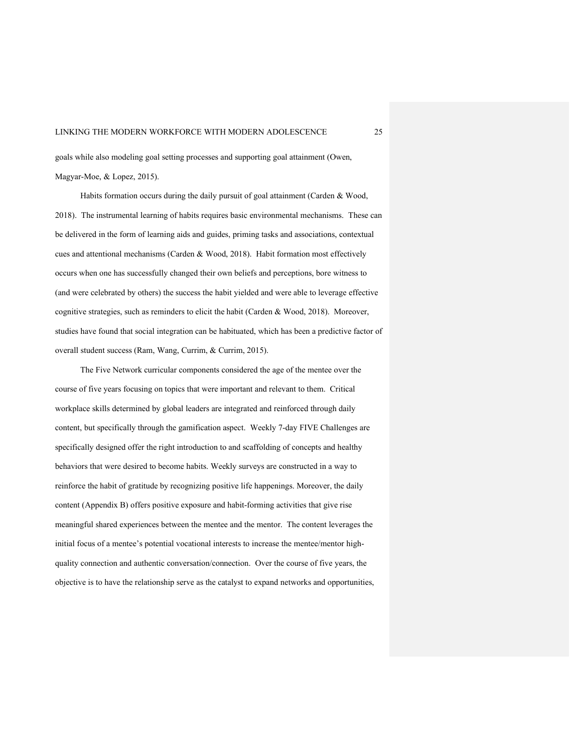goals while also modeling goal setting processes and supporting goal attainment (Owen, Magyar-Moe, & Lopez, 2015).

Habits formation occurs during the daily pursuit of goal attainment (Carden & Wood, 2018). The instrumental learning of habits requires basic environmental mechanisms. These can be delivered in the form of learning aids and guides, priming tasks and associations, contextual cues and attentional mechanisms (Carden & Wood, 2018). Habit formation most effectively occurs when one has successfully changed their own beliefs and perceptions, bore witness to (and were celebrated by others) the success the habit yielded and were able to leverage effective cognitive strategies, such as reminders to elicit the habit (Carden & Wood, 2018). Moreover, studies have found that social integration can be habituated, which has been a predictive factor of overall student success (Ram, Wang, Currim, & Currim, 2015).

The Five Network curricular components considered the age of the mentee over the course of five years focusing on topics that were important and relevant to them. Critical workplace skills determined by global leaders are integrated and reinforced through daily content, but specifically through the gamification aspect. Weekly 7-day FIVE Challenges are specifically designed offer the right introduction to and scaffolding of concepts and healthy behaviors that were desired to become habits. Weekly surveys are constructed in a way to reinforce the habit of gratitude by recognizing positive life happenings. Moreover, the daily content (Appendix B) offers positive exposure and habit-forming activities that give rise meaningful shared experiences between the mentee and the mentor. The content leverages the initial focus of a mentee's potential vocational interests to increase the mentee/mentor highquality connection and authentic conversation/connection. Over the course of five years, the objective is to have the relationship serve as the catalyst to expand networks and opportunities,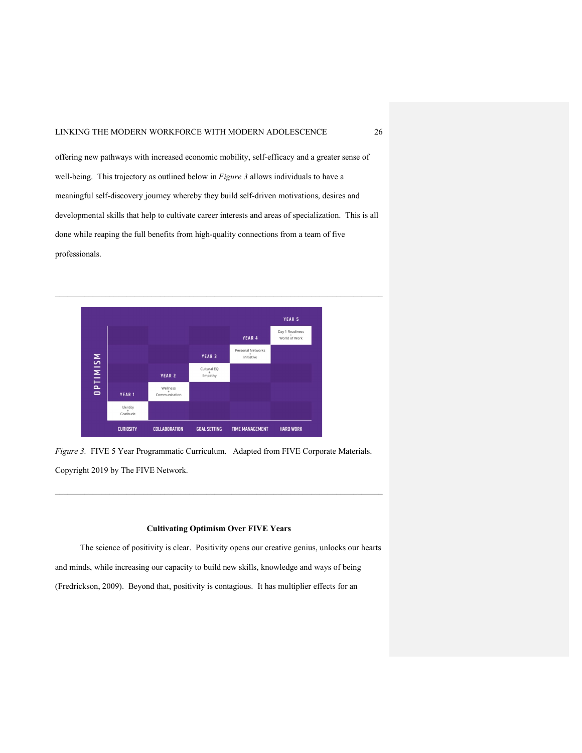offering new pathways with increased economic mobility, self-efficacy and a greater sense of well-being. This trajectory as outlined below in *Figure 3* allows individuals to have a meaningful self-discovery journey whereby they build self-driven motivations, desires and developmental skills that help to cultivate career interests and areas of specialization. This is all done while reaping the full benefits from high-quality connections from a team of five professionals.



*Figure 3.* FIVE 5 Year Programmatic Curriculum. Adapted from FIVE Corporate Materials. Copyright 2019 by The FIVE Network.

# **Cultivating Optimism Over FIVE Years**

 The science of positivity is clear. Positivity opens our creative genius, unlocks our hearts and minds, while increasing our capacity to build new skills, knowledge and ways of being (Fredrickson, 2009). Beyond that, positivity is contagious. It has multiplier effects for an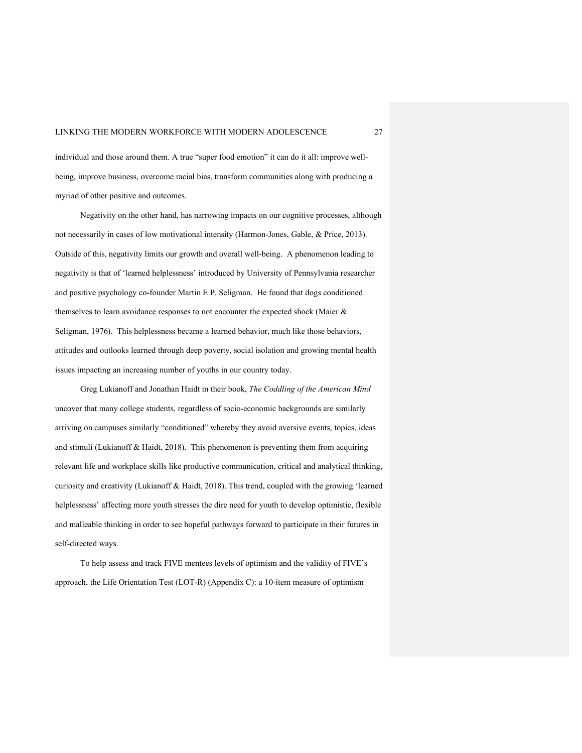individual and those around them. A true "super food emotion" it can do it all: improve wellbeing, improve business, overcome racial bias, transform communities along with producing a myriad of other positive and outcomes.

Negativity on the other hand, has narrowing impacts on our cognitive processes, although not necessarily in cases of low motivational intensity (Harmon-Jones, Gable, & Price, 2013). Outside of this, negativity limits our growth and overall well-being. A phenomenon leading to negativity is that of 'learned helplessness' introduced by University of Pennsylvania researcher and positive psychology co-founder Martin E.P. Seligman. He found that dogs conditioned themselves to learn avoidance responses to not encounter the expected shock (Maier & Seligman, 1976). This helplessness became a learned behavior, much like those behaviors, attitudes and outlooks learned through deep poverty, social isolation and growing mental health issues impacting an increasing number of youths in our country today.

Greg Lukianoff and Jonathan Haidt in their book, *The Coddling of the American Mind* uncover that many college students, regardless of socio-economic backgrounds are similarly arriving on campuses similarly "conditioned" whereby they avoid aversive events, topics, ideas and stimuli (Lukianoff & Haidt, 2018). This phenomenon is preventing them from acquiring relevant life and workplace skills like productive communication, critical and analytical thinking, curiosity and creativity (Lukianoff & Haidt, 2018). This trend, coupled with the growing 'learned helplessness' affecting more youth stresses the dire need for youth to develop optimistic, flexible and malleable thinking in order to see hopeful pathways forward to participate in their futures in self-directed ways.

To help assess and track FIVE mentees levels of optimism and the validity of FIVE's approach, the Life Orientation Test (LOT-R) (Appendix C): a 10-item measure of optimism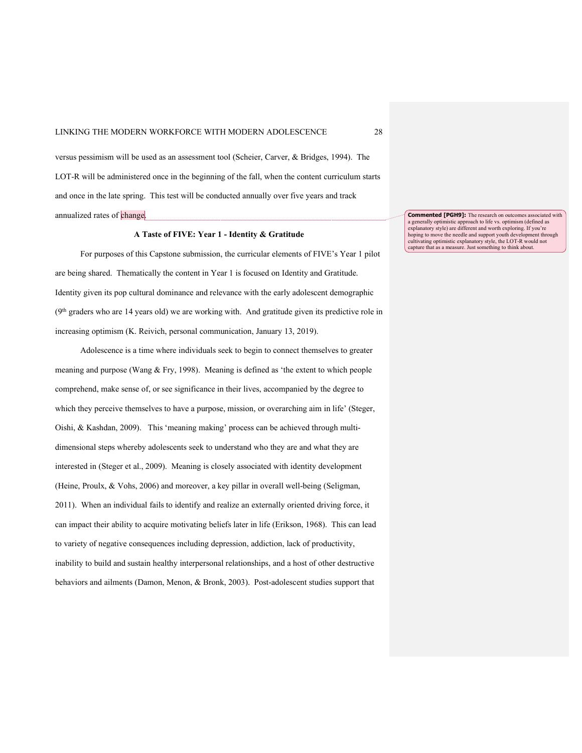versus pessimism will be used as an assessment tool (Scheier, Carver, & Bridges, 1994). The LOT-R will be administered once in the beginning of the fall, when the content curriculum starts and once in the late spring. This test will be conducted annually over five years and track annualized rates of change.

### **A Taste of FIVE: Year 1 - Identity & Gratitude**

For purposes of this Capstone submission, the curricular elements of FIVE's Year 1 pilot are being shared. Thematically the content in Year 1 is focused on Identity and Gratitude. Identity given its pop cultural dominance and relevance with the early adolescent demographic  $(9<sup>th</sup>$  graders who are 14 years old) we are working with. And gratitude given its predictive role in increasing optimism (K. Reivich, personal communication, January 13, 2019).

Adolescence is a time where individuals seek to begin to connect themselves to greater meaning and purpose (Wang & Fry, 1998). Meaning is defined as 'the extent to which people comprehend, make sense of, or see significance in their lives, accompanied by the degree to which they perceive themselves to have a purpose, mission, or overarching aim in life' (Steger, Oishi, & Kashdan, 2009). This 'meaning making' process can be achieved through multidimensional steps whereby adolescents seek to understand who they are and what they are interested in (Steger et al., 2009). Meaning is closely associated with identity development (Heine, Proulx, & Vohs, 2006) and moreover, a key pillar in overall well-being (Seligman, 2011). When an individual fails to identify and realize an externally oriented driving force, it can impact their ability to acquire motivating beliefs later in life (Erikson, 1968). This can lead to variety of negative consequences including depression, addiction, lack of productivity, inability to build and sustain healthy interpersonal relationships, and a host of other destructive behaviors and ailments (Damon, Menon, & Bronk, 2003). Post-adolescent studies support that

**Commented [PGH9]:** The research on outcomes associated with a generally optimistic approach to life vs. optimism (defined as explanatory style) are different and worth exploring. If you're hoping to move the needle and support youth development through cultivating optimistic explanatory style, the LOT-R would not capture that as a measure. Just something to think about.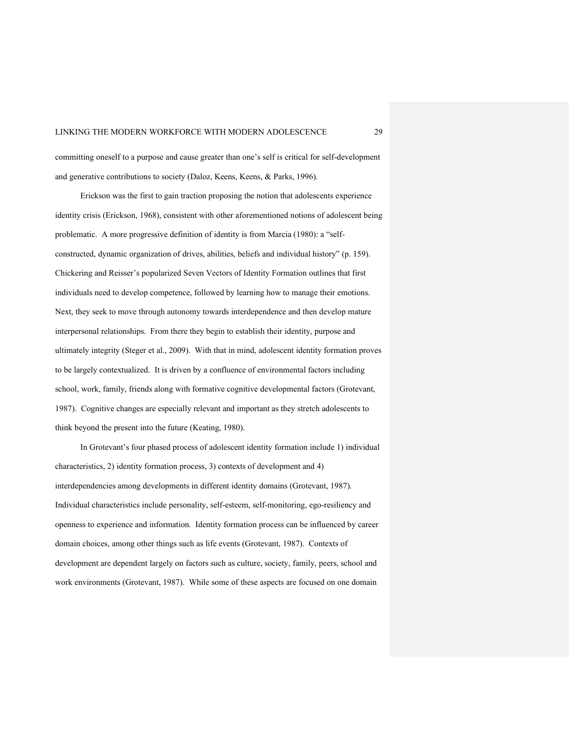committing oneself to a purpose and cause greater than one's self is critical for self-development and generative contributions to society (Daloz, Keens, Keens, & Parks, 1996).

Erickson was the first to gain traction proposing the notion that adolescents experience identity crisis (Erickson, 1968), consistent with other aforementioned notions of adolescent being problematic. A more progressive definition of identity is from Marcia (1980): a "selfconstructed, dynamic organization of drives, abilities, beliefs and individual history" (p. 159). Chickering and Reisser's popularized Seven Vectors of Identity Formation outlines that first individuals need to develop competence, followed by learning how to manage their emotions. Next, they seek to move through autonomy towards interdependence and then develop mature interpersonal relationships. From there they begin to establish their identity, purpose and ultimately integrity (Steger et al., 2009). With that in mind, adolescent identity formation proves to be largely contextualized. It is driven by a confluence of environmental factors including school, work, family, friends along with formative cognitive developmental factors (Grotevant, 1987). Cognitive changes are especially relevant and important as they stretch adolescents to think beyond the present into the future (Keating, 1980).

In Grotevant's four phased process of adolescent identity formation include 1) individual characteristics, 2) identity formation process, 3) contexts of development and 4) interdependencies among developments in different identity domains (Grotevant, 1987). Individual characteristics include personality, self-esteem, self-monitoring, ego-resiliency and openness to experience and information. Identity formation process can be influenced by career domain choices, among other things such as life events (Grotevant, 1987). Contexts of development are dependent largely on factors such as culture, society, family, peers, school and work environments (Grotevant, 1987). While some of these aspects are focused on one domain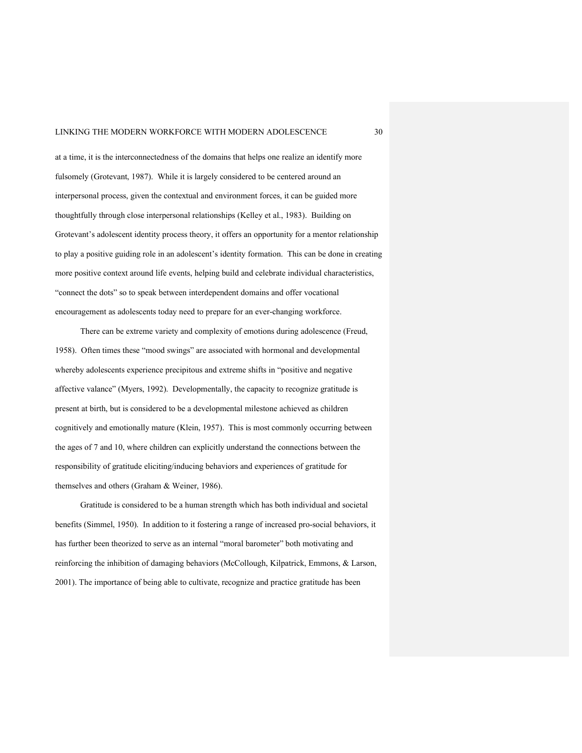at a time, it is the interconnectedness of the domains that helps one realize an identify more fulsomely (Grotevant, 1987). While it is largely considered to be centered around an interpersonal process, given the contextual and environment forces, it can be guided more thoughtfully through close interpersonal relationships (Kelley et al., 1983). Building on Grotevant's adolescent identity process theory, it offers an opportunity for a mentor relationship to play a positive guiding role in an adolescent's identity formation. This can be done in creating more positive context around life events, helping build and celebrate individual characteristics, "connect the dots" so to speak between interdependent domains and offer vocational encouragement as adolescents today need to prepare for an ever-changing workforce.

There can be extreme variety and complexity of emotions during adolescence (Freud, 1958). Often times these "mood swings" are associated with hormonal and developmental whereby adolescents experience precipitous and extreme shifts in "positive and negative affective valance" (Myers, 1992). Developmentally, the capacity to recognize gratitude is present at birth, but is considered to be a developmental milestone achieved as children cognitively and emotionally mature (Klein, 1957). This is most commonly occurring between the ages of 7 and 10, where children can explicitly understand the connections between the responsibility of gratitude eliciting/inducing behaviors and experiences of gratitude for themselves and others (Graham & Weiner, 1986).

Gratitude is considered to be a human strength which has both individual and societal benefits (Simmel, 1950). In addition to it fostering a range of increased pro-social behaviors, it has further been theorized to serve as an internal "moral barometer" both motivating and reinforcing the inhibition of damaging behaviors (McCollough, Kilpatrick, Emmons, & Larson, 2001). The importance of being able to cultivate, recognize and practice gratitude has been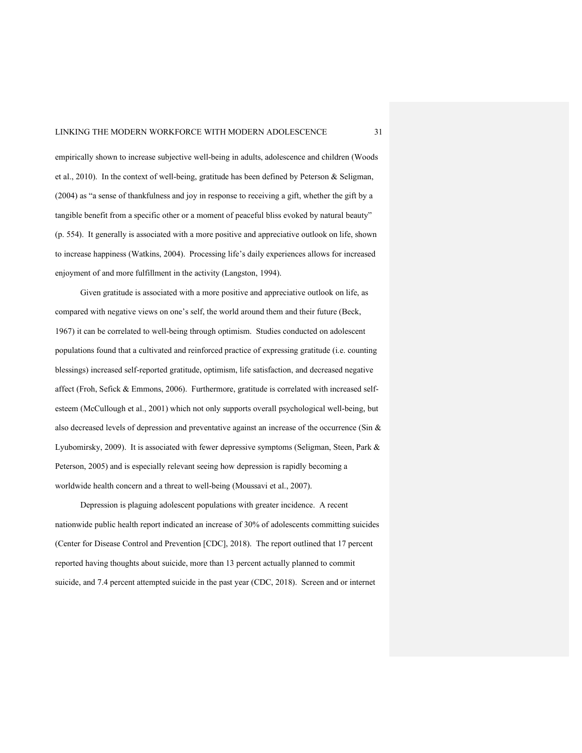empirically shown to increase subjective well-being in adults, adolescence and children (Woods et al., 2010). In the context of well-being, gratitude has been defined by Peterson & Seligman, (2004) as "a sense of thankfulness and joy in response to receiving a gift, whether the gift by a tangible benefit from a specific other or a moment of peaceful bliss evoked by natural beauty" (p. 554). It generally is associated with a more positive and appreciative outlook on life, shown to increase happiness (Watkins, 2004). Processing life's daily experiences allows for increased enjoyment of and more fulfillment in the activity (Langston, 1994).

Given gratitude is associated with a more positive and appreciative outlook on life, as compared with negative views on one's self, the world around them and their future (Beck, 1967) it can be correlated to well-being through optimism. Studies conducted on adolescent populations found that a cultivated and reinforced practice of expressing gratitude (i.e. counting blessings) increased self-reported gratitude, optimism, life satisfaction, and decreased negative affect (Froh, Sefick & Emmons, 2006). Furthermore, gratitude is correlated with increased selfesteem (McCullough et al., 2001) which not only supports overall psychological well-being, but also decreased levels of depression and preventative against an increase of the occurrence (Sin & Lyubomirsky, 2009). It is associated with fewer depressive symptoms (Seligman, Steen, Park & Peterson, 2005) and is especially relevant seeing how depression is rapidly becoming a worldwide health concern and a threat to well-being (Moussavi et al., 2007).

Depression is plaguing adolescent populations with greater incidence. A recent nationwide public health report indicated an increase of 30% of adolescents committing suicides (Center for Disease Control and Prevention [CDC], 2018). The report outlined that 17 percent reported having thoughts about suicide, more than 13 percent actually planned to commit suicide, and 7.4 percent attempted suicide in the past year (CDC, 2018). Screen and or internet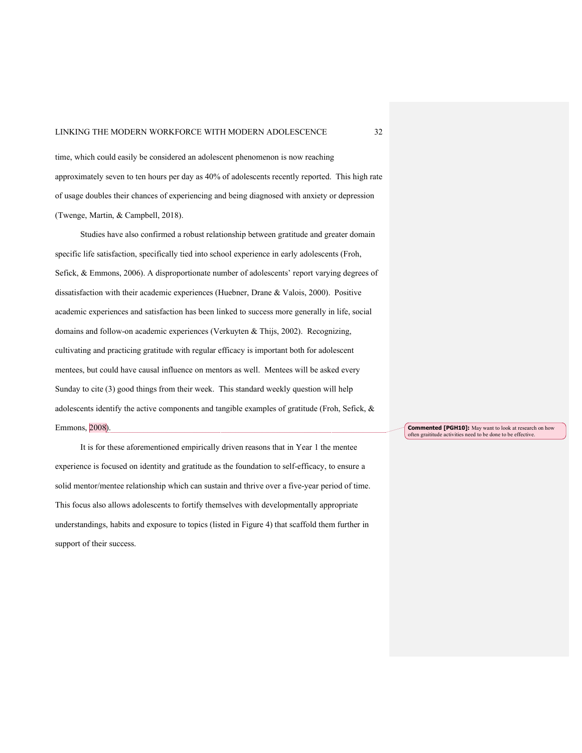time, which could easily be considered an adolescent phenomenon is now reaching approximately seven to ten hours per day as 40% of adolescents recently reported. This high rate of usage doubles their chances of experiencing and being diagnosed with anxiety or depression (Twenge, Martin, & Campbell, 2018).

Studies have also confirmed a robust relationship between gratitude and greater domain specific life satisfaction, specifically tied into school experience in early adolescents (Froh, Sefick, & Emmons, 2006). A disproportionate number of adolescents' report varying degrees of dissatisfaction with their academic experiences (Huebner, Drane & Valois, 2000). Positive academic experiences and satisfaction has been linked to success more generally in life, social domains and follow-on academic experiences (Verkuyten & Thijs, 2002). Recognizing, cultivating and practicing gratitude with regular efficacy is important both for adolescent mentees, but could have causal influence on mentors as well. Mentees will be asked every Sunday to cite (3) good things from their week. This standard weekly question will help adolescents identify the active components and tangible examples of gratitude (Froh, Sefick, & Emmons, 2008).

It is for these aforementioned empirically driven reasons that in Year 1 the mentee experience is focused on identity and gratitude as the foundation to self-efficacy, to ensure a solid mentor/mentee relationship which can sustain and thrive over a five-year period of time. This focus also allows adolescents to fortify themselves with developmentally appropriate understandings, habits and exposure to topics (listed in Figure 4) that scaffold them further in support of their success.

**Commented [PGH10]:** May want to look at research on how often graititude activities need to be done to be effective.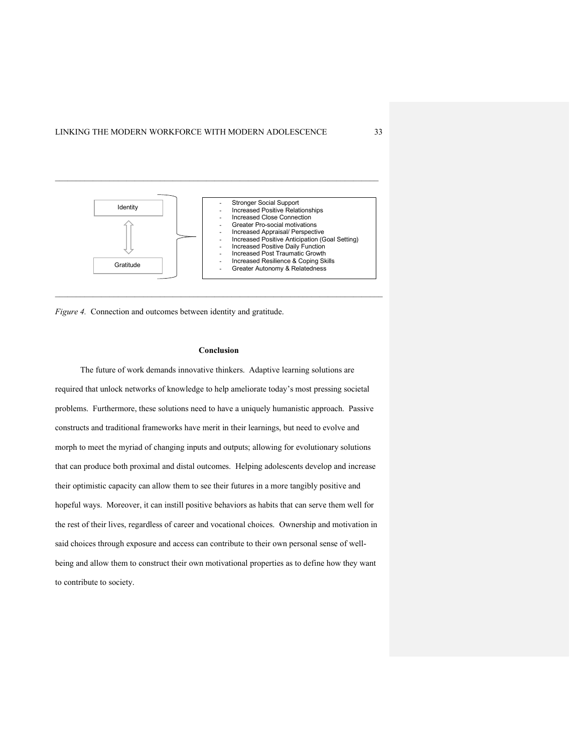

*Figure 4.* Connection and outcomes between identity and gratitude.

#### **Conclusion**

The future of work demands innovative thinkers. Adaptive learning solutions are required that unlock networks of knowledge to help ameliorate today's most pressing societal problems. Furthermore, these solutions need to have a uniquely humanistic approach. Passive constructs and traditional frameworks have merit in their learnings, but need to evolve and morph to meet the myriad of changing inputs and outputs; allowing for evolutionary solutions that can produce both proximal and distal outcomes. Helping adolescents develop and increase their optimistic capacity can allow them to see their futures in a more tangibly positive and hopeful ways. Moreover, it can instill positive behaviors as habits that can serve them well for the rest of their lives, regardless of career and vocational choices. Ownership and motivation in said choices through exposure and access can contribute to their own personal sense of wellbeing and allow them to construct their own motivational properties as to define how they want to contribute to society.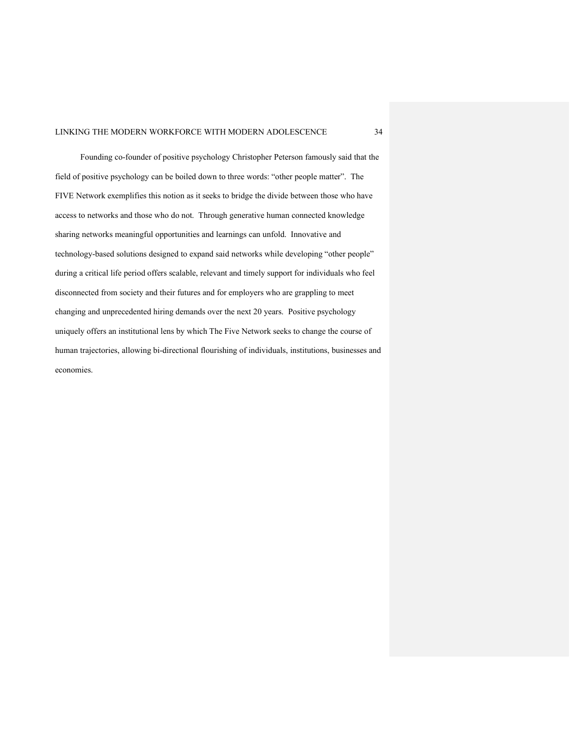Founding co-founder of positive psychology Christopher Peterson famously said that the field of positive psychology can be boiled down to three words: "other people matter". The FIVE Network exemplifies this notion as it seeks to bridge the divide between those who have access to networks and those who do not. Through generative human connected knowledge sharing networks meaningful opportunities and learnings can unfold. Innovative and technology-based solutions designed to expand said networks while developing "other people" during a critical life period offers scalable, relevant and timely support for individuals who feel disconnected from society and their futures and for employers who are grappling to meet changing and unprecedented hiring demands over the next 20 years. Positive psychology uniquely offers an institutional lens by which The Five Network seeks to change the course of human trajectories, allowing bi-directional flourishing of individuals, institutions, businesses and economies.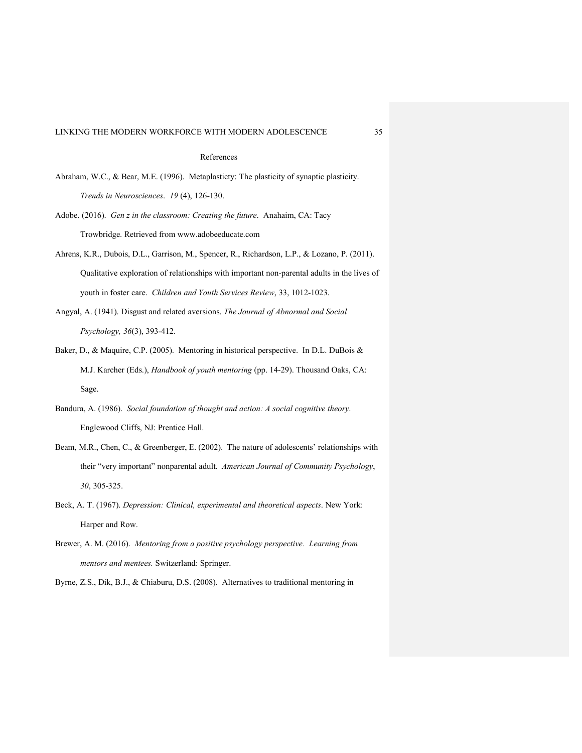#### References

- Abraham, W.C., & Bear, M.E. (1996). Metaplasticty: The plasticity of synaptic plasticity. *Trends in Neurosciences*. *19* (4), 126-130.
- Adobe. (2016). *Gen z in the classroom: Creating the future*. Anahaim, CA: Tacy Trowbridge. Retrieved from www.adobeeducate.com
- Ahrens, K.R., Dubois, D.L., Garrison, M., Spencer, R., Richardson, L.P., & Lozano, P. (2011). Qualitative exploration of relationships with important non-parental adults in the lives of youth in foster care. *Children and Youth Services Review*, 33, 1012-1023.
- Angyal, A. (1941). Disgust and related aversions. *The Journal of Abnormal and Social Psychology, 36*(3), 393-412.
- Baker, D., & Maquire, C.P. (2005). Mentoring in historical perspective. In D.L. DuBois & M.J. Karcher (Eds.), *Handbook of youth mentoring* (pp. 14-29). Thousand Oaks, CA: Sage.
- Bandura, A. (1986). *Social foundation of thought and action: A social cognitive theory*. Englewood Cliffs, NJ: Prentice Hall.
- Beam, M.R., Chen, C., & Greenberger, E. (2002). The nature of adolescents' relationships with their "very important" nonparental adult. *American Journal of Community Psychology*, *30*, 305-325.
- Beck, A. T. (1967). *Depression: Clinical, experimental and theoretical aspects*. New York: Harper and Row.
- Brewer, A. M. (2016). *Mentoring from a positive psychology perspective. Learning from mentors and mentees.* Switzerland: Springer.
- Byrne, Z.S., Dik, B.J., & Chiaburu, D.S. (2008). Alternatives to traditional mentoring in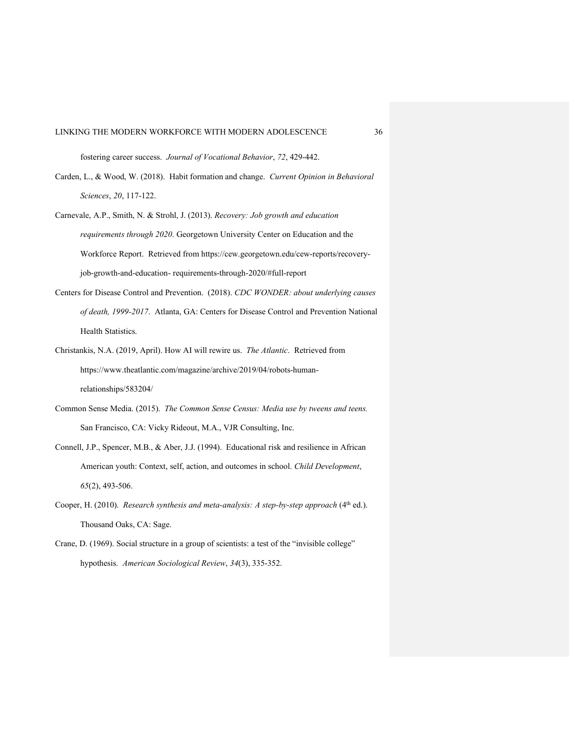fostering career success. *Journal of Vocational Behavior*, *72*, 429-442.

- Carden, L., & Wood, W. (2018). Habit formation and change. *Current Opinion in Behavioral Sciences*, *20*, 117-122.
- Carnevale, A.P., Smith, N. & Strohl, J. (2013). *Recovery: Job growth and education requirements through 2020*. Georgetown University Center on Education and the Workforce Report. Retrieved from https://cew.georgetown.edu/cew-reports/recoveryjob-growth-and-education- requirements-through-2020/#full-report
- Centers for Disease Control and Prevention. (2018). *CDC WONDER: about underlying causes of death, 1999-2017*. Atlanta, GA: Centers for Disease Control and Prevention National Health Statistics.
- Christankis, N.A. (2019, April). How AI will rewire us. *The Atlantic*. Retrieved from https://www.theatlantic.com/magazine/archive/2019/04/robots-humanrelationships/583204/
- Common Sense Media. (2015). *The Common Sense Census: Media use by tweens and teens.* San Francisco, CA: Vicky Rideout, M.A., VJR Consulting, Inc.
- Connell, J.P., Spencer, M.B., & Aber, J.J. (1994). Educational risk and resilience in African American youth: Context, self, action, and outcomes in school. *Child Development*, *65*(2), 493-506.
- Cooper, H. (2010). *Research synthesis and meta-analysis: A step-by-step approach* (4<sup>th</sup> ed.). Thousand Oaks, CA: Sage.
- Crane, D. (1969). Social structure in a group of scientists: a test of the "invisible college" hypothesis. *American Sociological Review*, *34*(3), 335-352.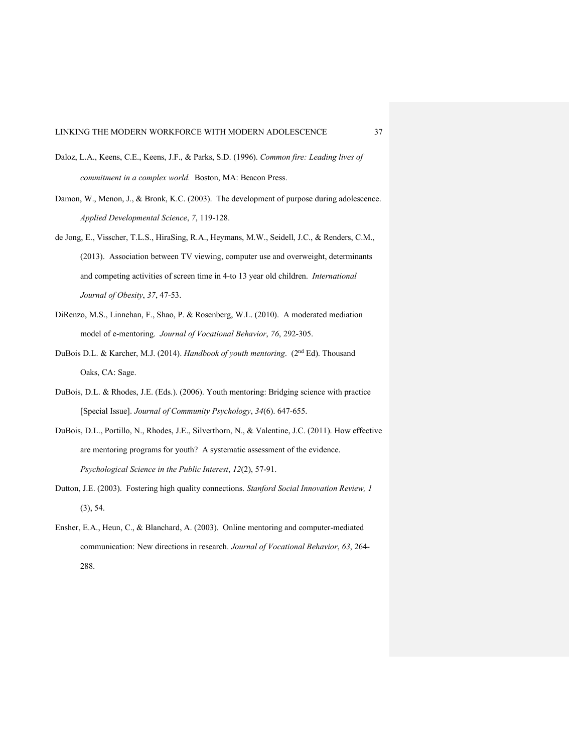- Daloz, L.A., Keens, C.E., Keens, J.F., & Parks, S.D. (1996). *Common fire: Leading lives of commitment in a complex world.* Boston, MA: Beacon Press.
- Damon, W., Menon, J., & Bronk, K.C. (2003). The development of purpose during adolescence. *Applied Developmental Science*, *7*, 119-128.
- de Jong, E., Visscher, T.L.S., HiraSing, R.A., Heymans, M.W., Seidell, J.C., & Renders, C.M., (2013). Association between TV viewing, computer use and overweight, determinants and competing activities of screen time in 4-to 13 year old children. *International Journal of Obesity*, *37*, 47-53.
- DiRenzo, M.S., Linnehan, F., Shao, P. & Rosenberg, W.L. (2010). A moderated mediation model of e-mentoring. *Journal of Vocational Behavior*, *76*, 292-305.
- DuBois D.L. & Karcher, M.J. (2014). *Handbook of youth mentoring*. (2nd Ed). Thousand Oaks, CA: Sage.
- DuBois, D.L. & Rhodes, J.E. (Eds.). (2006). Youth mentoring: Bridging science with practice [Special Issue]. *Journal of Community Psychology*, *34*(6). 647-655.
- DuBois, D.L., Portillo, N., Rhodes, J.E., Silverthorn, N., & Valentine, J.C. (2011). How effective are mentoring programs for youth? A systematic assessment of the evidence. *Psychological Science in the Public Interest*, *12*(2), 57-91.
- Dutton, J.E. (2003). Fostering high quality connections. *Stanford Social Innovation Review, 1* (3), 54.
- Ensher, E.A., Heun, C., & Blanchard, A. (2003). Online mentoring and computer-mediated communication: New directions in research. *Journal of Vocational Behavior*, *63*, 264- 288.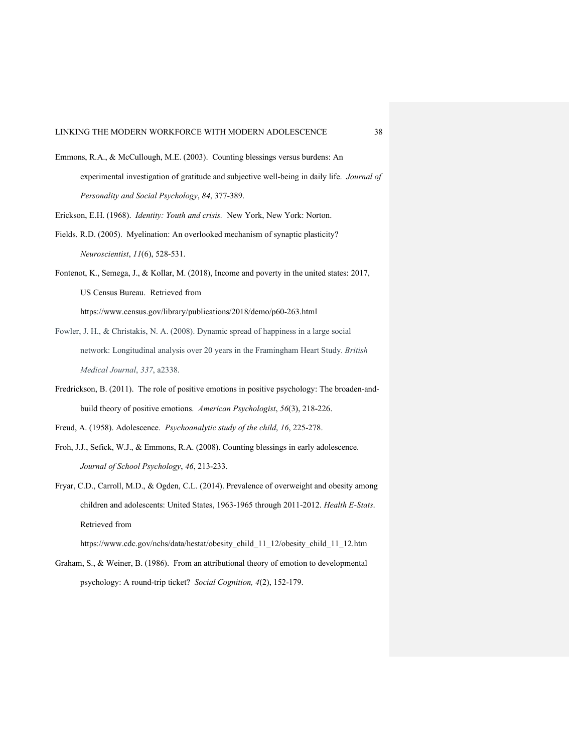- Emmons, R.A., & McCullough, M.E. (2003). Counting blessings versus burdens: An experimental investigation of gratitude and subjective well-being in daily life. *Journal of Personality and Social Psychology*, *84*, 377-389.
- Erickson, E.H. (1968). *Identity: Youth and crisis.* New York, New York: Norton.
- Fields. R.D. (2005). Myelination: An overlooked mechanism of synaptic plasticity? *Neuroscientist*, *11*(6), 528-531.
- Fontenot, K., Semega, J., & Kollar, M. (2018), Income and poverty in the united states: 2017, US Census Bureau. Retrieved from https://www.census.gov/library/publications/2018/demo/p60-263.html
- Fowler, J. H., & Christakis, N. A. (2008). Dynamic spread of happiness in a large social network: Longitudinal analysis over 20 years in the Framingham Heart Study. *British Medical Journal*, *337*, a2338.
- Fredrickson, B. (2011). The role of positive emotions in positive psychology: The broaden-andbuild theory of positive emotions. *American Psychologist*, *56*(3), 218-226.

Freud, A. (1958). Adolescence. *Psychoanalytic study of the child*, *16*, 225-278.

- Froh, J.J., Sefick, W.J., & Emmons, R.A. (2008). Counting blessings in early adolescence. *Journal of School Psychology*, *46*, 213-233.
- Fryar, C.D., Carroll, M.D., & Ogden, C.L. (2014). Prevalence of overweight and obesity among children and adolescents: United States, 1963-1965 through 2011-2012. *Health E-Stats*. Retrieved from

https://www.cdc.gov/nchs/data/hestat/obesity\_child\_11\_12/obesity\_child\_11\_12.htm Graham, S., & Weiner, B. (1986). From an attributional theory of emotion to developmental

psychology: A round-trip ticket? *Social Cognition, 4*(2), 152-179.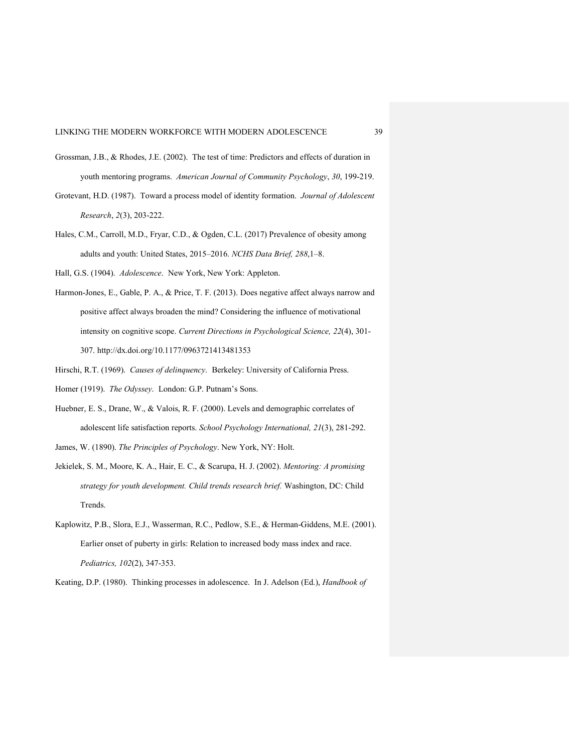- Grossman, J.B., & Rhodes, J.E. (2002). The test of time: Predictors and effects of duration in youth mentoring programs. *American Journal of Community Psychology*, *30*, 199-219.
- Grotevant, H.D. (1987). Toward a process model of identity formation. *Journal of Adolescent Research*, *2*(3), 203-222.
- Hales, C.M., Carroll, M.D., Fryar, C.D., & Ogden, C.L. (2017) Prevalence of obesity among adults and youth: United States, 2015–2016. *NCHS Data Brief, 288*,1–8.
- Hall, G.S. (1904). *Adolescence*. New York, New York: Appleton.
- Harmon-Jones, E., Gable, P. A., & Price, T. F. (2013). Does negative affect always narrow and positive affect always broaden the mind? Considering the influence of motivational intensity on cognitive scope. *Current Directions in Psychological Science, 22*(4), 301- 307. http://dx.doi.org/10.1177/0963721413481353
- Hirschi, R.T. (1969). *Causes of delinquency*. Berkeley: University of California Press.
- Homer (1919). *The Odyssey*. London: G.P. Putnam's Sons.
- Huebner, E. S., Drane, W., & Valois, R. F. (2000). Levels and demographic correlates of adolescent life satisfaction reports. *School Psychology International, 21*(3), 281-292.
- James, W. (1890). *The Principles of Psychology*. New York, NY: Holt.
- Jekielek, S. M., Moore, K. A., Hair, E. C., & Scarupa, H. J. (2002). *Mentoring: A promising strategy for youth development. Child trends research brief.* Washington, DC: Child Trends.
- Kaplowitz, P.B., Slora, E.J., Wasserman, R.C., Pedlow, S.E., & Herman-Giddens, M.E. (2001). Earlier onset of puberty in girls: Relation to increased body mass index and race. *Pediatrics, 102*(2), 347-353.

Keating, D.P. (1980). Thinking processes in adolescence. In J. Adelson (Ed.), *Handbook of*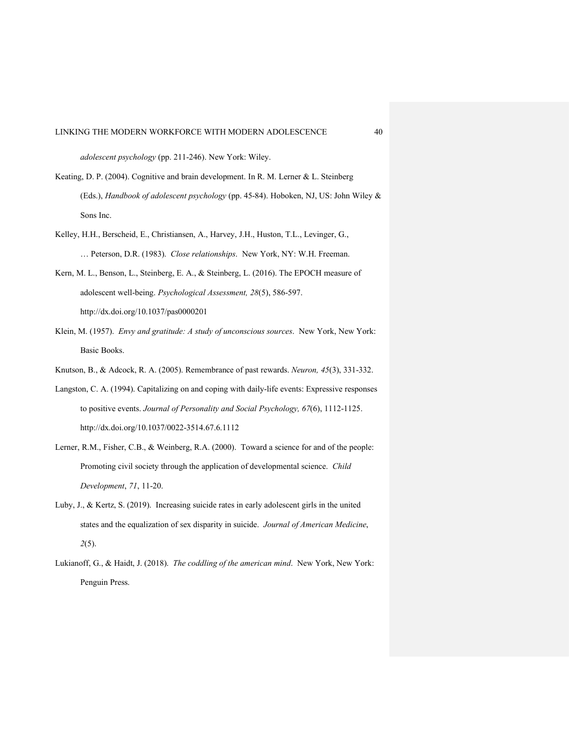*adolescent psychology* (pp. 211-246). New York: Wiley.

- Keating, D. P. (2004). Cognitive and brain development. In R. M. Lerner & L. Steinberg (Eds.), *Handbook of adolescent psychology* (pp. 45-84). Hoboken, NJ, US: John Wiley & Sons Inc.
- Kelley, H.H., Berscheid, E., Christiansen, A., Harvey, J.H., Huston, T.L., Levinger, G., … Peterson, D.R. (1983). *Close relationships*. New York, NY: W.H. Freeman.
- Kern, M. L., Benson, L., Steinberg, E. A., & Steinberg, L. (2016). The EPOCH measure of adolescent well-being. *Psychological Assessment, 28*(5), 586-597. http://dx.doi.org/10.1037/pas0000201
- Klein, M. (1957). *Envy and gratitude: A study of unconscious sources*. New York, New York: Basic Books.

Knutson, B., & Adcock, R. A. (2005). Remembrance of past rewards. *Neuron, 45*(3), 331-332.

- Langston, C. A. (1994). Capitalizing on and coping with daily-life events: Expressive responses to positive events. *Journal of Personality and Social Psychology, 67*(6), 1112-1125. http://dx.doi.org/10.1037/0022-3514.67.6.1112
- Lerner, R.M., Fisher, C.B., & Weinberg, R.A. (2000). Toward a science for and of the people: Promoting civil society through the application of developmental science. *Child Development*, *71*, 11-20.
- Luby, J., & Kertz, S. (2019). Increasing suicide rates in early adolescent girls in the united states and the equalization of sex disparity in suicide. *Journal of American Medicine*, *2*(5).
- Lukianoff, G., & Haidt, J. (2018). *The coddling of the american mind*. New York, New York: Penguin Press.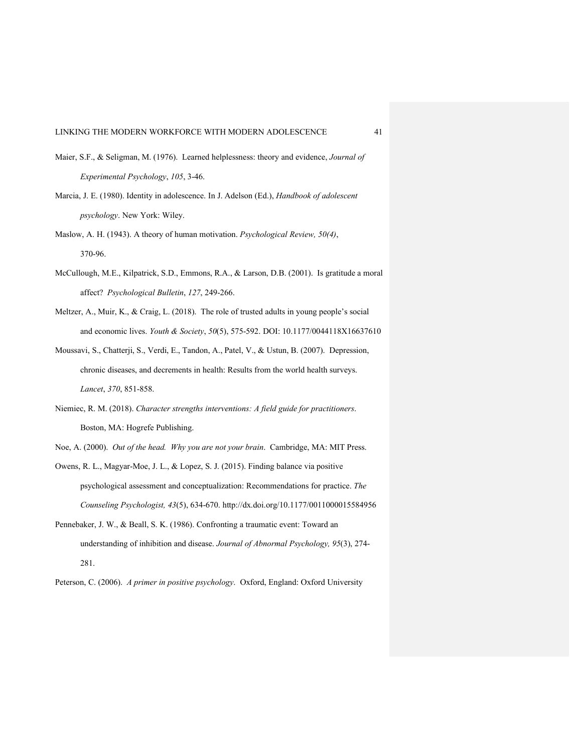- Maier, S.F., & Seligman, M. (1976). Learned helplessness: theory and evidence, *Journal of Experimental Psychology*, *105*, 3-46.
- Marcia, J. E. (1980). Identity in adolescence. In J. Adelson (Ed.), *Handbook of adolescent psychology*. New York: Wiley.
- Maslow, A. H. (1943). A theory of human motivation. *Psychological Review, 50(4)*, 370-96.
- McCullough, M.E., Kilpatrick, S.D., Emmons, R.A., & Larson, D.B. (2001). Is gratitude a moral affect? *Psychological Bulletin*, *127*, 249-266.
- Meltzer, A., Muir, K., & Craig, L. (2018). The role of trusted adults in young people's social and economic lives. *Youth & Society*, *50*(5), 575-592. DOI: 10.1177/0044118X16637610
- Moussavi, S., Chatterji, S., Verdi, E., Tandon, A., Patel, V., & Ustun, B. (2007). Depression, chronic diseases, and decrements in health: Results from the world health surveys. *Lancet*, *370*, 851-858.
- Niemiec, R. M. (2018). *Character strengths interventions: A field guide for practitioners*. Boston, MA: Hogrefe Publishing.

Noe, A. (2000). *Out of the head. Why you are not your brain*. Cambridge, MA: MIT Press.

- Owens, R. L., Magyar-Moe, J. L., & Lopez, S. J. (2015). Finding balance via positive psychological assessment and conceptualization: Recommendations for practice. *The Counseling Psychologist, 43*(5), 634-670. http://dx.doi.org/10.1177/0011000015584956
- Pennebaker, J. W., & Beall, S. K. (1986). Confronting a traumatic event: Toward an understanding of inhibition and disease. *Journal of Abnormal Psychology, 95*(3), 274- 281.

Peterson, C. (2006). *A primer in positive psychology*. Oxford, England: Oxford University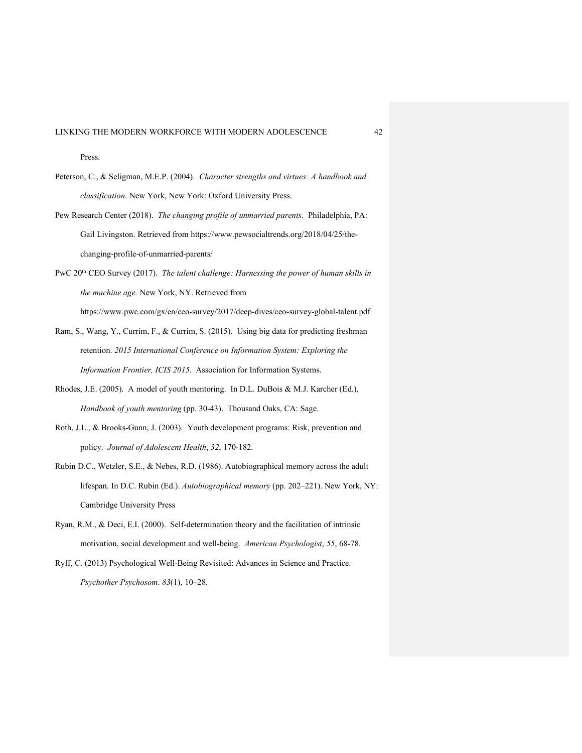Press.

- Peterson, C., & Seligman, M.E.P. (2004). *Character strengths and virtues: A handbook and classification*. New York, New York: Oxford University Press.
- Pew Research Center (2018). *The changing profile of unmarried parents*. Philadelphia, PA: Gail Livingston. Retrieved from https://www.pewsocialtrends.org/2018/04/25/thechanging-profile-of-unmarried-parents/
- PwC 20th CEO Survey (2017). *The talent challenge: Harnessing the power of human skills in the machine age.* New York, NY. Retrieved from https://www.pwc.com/gx/en/ceo-survey/2017/deep-dives/ceo-survey-global-talent.pdf
- Ram, S., Wang, Y., Currim, F., & Currim, S. (2015). Using big data for predicting freshman retention. *2015 International Conference on Information System: Exploring the Information Frontier, ICIS 2015*. Association for Information Systems.
- Rhodes, J.E. (2005). A model of youth mentoring. In D.L. DuBois & M.J. Karcher (Ed.), *Handbook of youth mentoring* (pp. 30-43). Thousand Oaks, CA: Sage.
- Roth, J.L., & Brooks-Gunn, J. (2003). Youth development programs: Risk, prevention and policy. *Journal of Adolescent Health*, *32*, 170-182.
- Rubin D.C., Wetzler, S.E., & Nebes, R.D. (1986). Autobiographical memory across the adult lifespan. In D.C. Rubin (Ed.). *Autobiographical memory* (pp. 202–221). New York, NY: Cambridge University Press
- Ryan, R.M., & Deci, E.I. (2000). Self-determination theory and the facilitation of intrinsic motivation, social development and well-being. *American Psychologist*, *55*, 68-78.
- Ryff, C. (2013) Psychological Well-Being Revisited: Advances in Science and Practice. *Psychother Psychosom*. *83*(1), 10–28.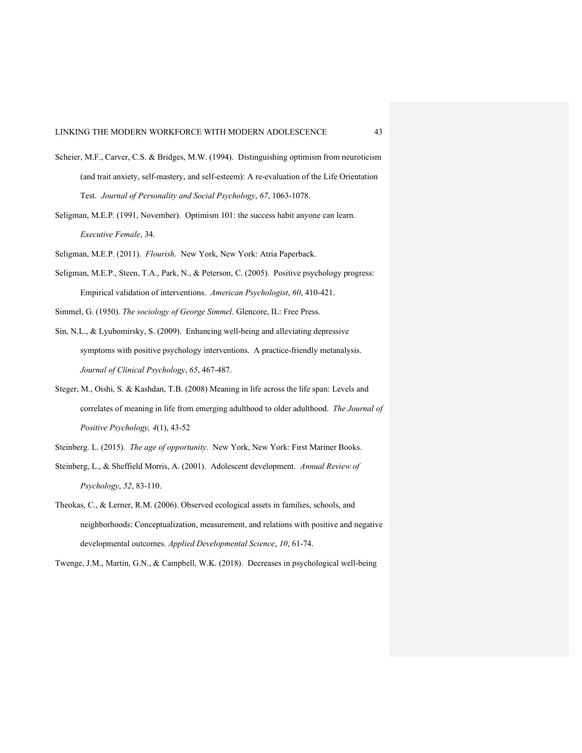- Scheier, M.F., Carver, C.S. & Bridges, M.W. (1994). Distinguishing optimism from neuroticism (and trait anxiety, self-mastery, and self-esteem): A re-evaluation of the Life Orientation Test. *Journal of Personality and Social Psychology*, *67*, 1063-1078.
- Seligman, M.E.P. (1991, November). Optimism 101: the success habit anyone can learn. *Executive Female*, 34.

Seligman, M.E.P. (2011). *Flourish*. New York, New York: Atria Paperback.

- Seligman, M.E.P., Steen, T.A., Park, N., & Peterson, C. (2005). Positive psychology progress: Empirical validation of interventions. *American Psychologist*, *60*, 410-421.
- Simmel, G. (1950). *The sociology of George Simmel*. Glencore, IL: Free Press.
- Sin, N.L., & Lyubomirsky, S. (2009). Enhancing well-being and alleviating depressive symptoms with positive psychology interventions. A practice-friendly metanalysis. *Journal of Clinical Psychology*, *65*, 467-487.
- Steger, M., Oishi, S. & Kashdan, T.B. (2008) Meaning in life across the life span: Levels and correlates of meaning in life from emerging adulthood to older adulthood. *The Journal of Positive Psychology, 4*(1), 43-52
- Steinberg. L. (2015). *The age of opportunity*. New York, New York: First Mariner Books.
- Steinberg, L., & Sheffield Morris, A. (2001). Adolescent development. *Annual Review of Psychology*, *52*, 83-110.
- Theokas, C., & Lerner, R.M. (2006). Observed ecological assets in families, schools, and neighborhoods: Conceptualization, measurement, and relations with positive and negative developmental outcomes. *Applied Developmental Science*, *10*, 61-74.
- Twenge, J.M., Martin, G.N., & Campbell, W.K. (2018). Decreases in psychological well-being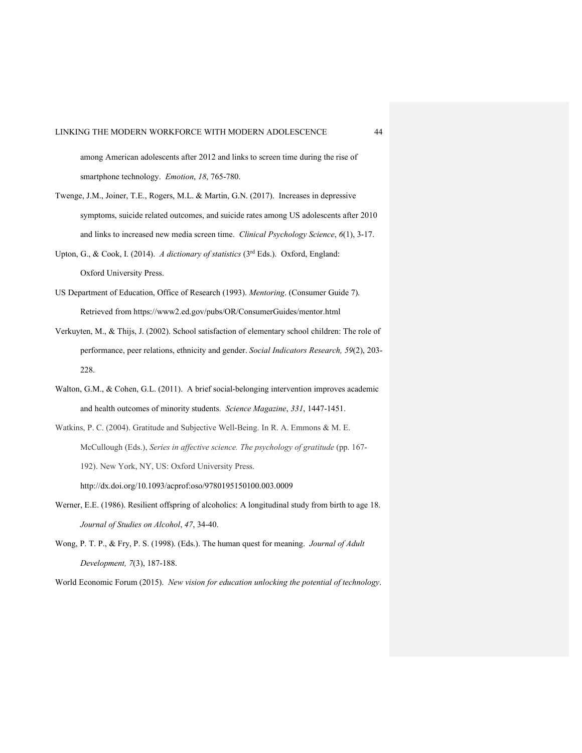among American adolescents after 2012 and links to screen time during the rise of smartphone technology. *Emotion*, *18*, 765-780.

- Twenge, J.M., Joiner, T.E., Rogers, M.L. & Martin, G.N. (2017). Increases in depressive symptoms, suicide related outcomes, and suicide rates among US adolescents after 2010 and links to increased new media screen time. *Clinical Psychology Science*, *6*(1), 3-17.
- Upton, G., & Cook, I. (2014). *A dictionary of statistics* (3rd Eds.). Oxford, England: Oxford University Press.
- US Department of Education, Office of Research (1993). *Mentoring*. (Consumer Guide 7). Retrieved from https://www2.ed.gov/pubs/OR/ConsumerGuides/mentor.html
- Verkuyten, M., & Thijs, J. (2002). School satisfaction of elementary school children: The role of performance, peer relations, ethnicity and gender. *Social Indicators Research, 59*(2), 203- 228.
- Walton, G.M., & Cohen, G.L. (2011). A brief social-belonging intervention improves academic and health outcomes of minority students. *Science Magazine*, *331*, 1447-1451.
- Watkins, P. C. (2004). Gratitude and Subjective Well-Being. In R. A. Emmons & M. E. McCullough (Eds.), *Series in affective science. The psychology of gratitude* (pp. 167- 192). New York, NY, US: Oxford University Press. http://dx.doi.org/10.1093/acprof:oso/9780195150100.003.0009
- Werner, E.E. (1986). Resilient offspring of alcoholics: A longitudinal study from birth to age 18. *Journal of Studies on Alcohol*, *47*, 34-40.
- Wong, P. T. P., & Fry, P. S. (1998). (Eds.). The human quest for meaning. *Journal of Adult Development, 7*(3), 187-188.

World Economic Forum (2015). *New vision for education unlocking the potential of technology*.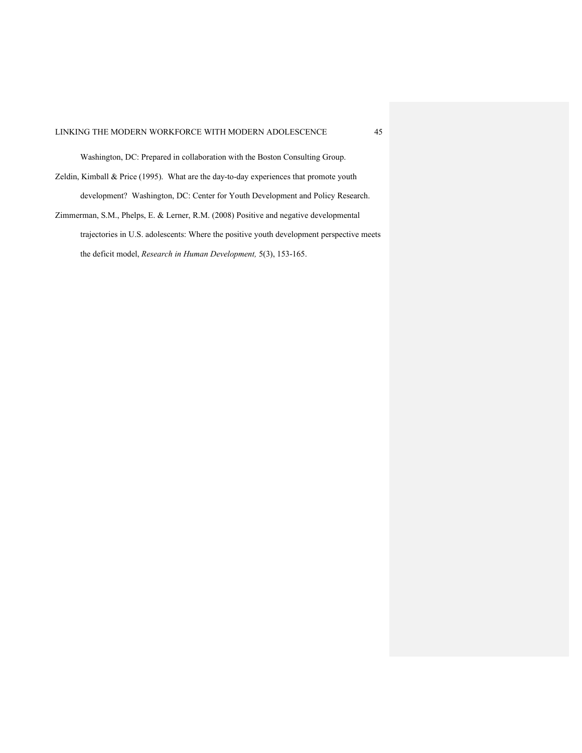Washington, DC: Prepared in collaboration with the Boston Consulting Group.

- Zeldin, Kimball & Price (1995). What are the day-to-day experiences that promote youth development? Washington, DC: Center for Youth Development and Policy Research.
- Zimmerman, S.M., Phelps, E. & Lerner, R.M. (2008) Positive and negative developmental trajectories in U.S. adolescents: Where the positive youth development perspective meets the deficit model, *Research in Human Development,* 5(3), 153-165.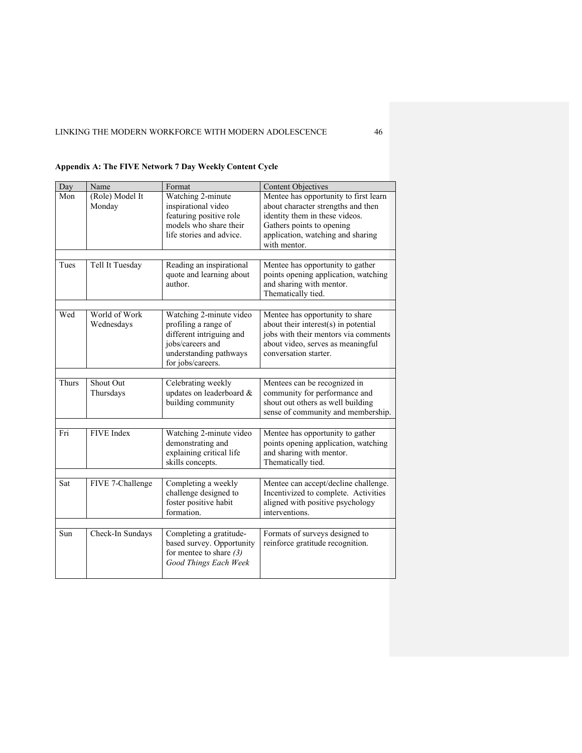| Day   | Name                        | Format                                                                                                                                         | <b>Content Objectives</b>                                                                                                                                                                       |  |  |
|-------|-----------------------------|------------------------------------------------------------------------------------------------------------------------------------------------|-------------------------------------------------------------------------------------------------------------------------------------------------------------------------------------------------|--|--|
| Mon   | (Role) Model It<br>Monday   | Watching 2-minute<br>inspirational video<br>featuring positive role<br>models who share their<br>life stories and advice.                      | Mentee has opportunity to first learn<br>about character strengths and then<br>identity them in these videos.<br>Gathers points to opening<br>application, watching and sharing<br>with mentor. |  |  |
|       |                             |                                                                                                                                                |                                                                                                                                                                                                 |  |  |
| Tues  | Tell It Tuesday             | Reading an inspirational<br>quote and learning about<br>author.                                                                                | Mentee has opportunity to gather<br>points opening application, watching<br>and sharing with mentor.<br>Thematically tied.                                                                      |  |  |
|       |                             |                                                                                                                                                |                                                                                                                                                                                                 |  |  |
| Wed   | World of Work<br>Wednesdays | Watching 2-minute video<br>profiling a range of<br>different intriguing and<br>jobs/careers and<br>understanding pathways<br>for jobs/careers. | Mentee has opportunity to share<br>about their interest(s) in potential<br>jobs with their mentors via comments<br>about video, serves as meaningful<br>conversation starter.                   |  |  |
|       |                             |                                                                                                                                                |                                                                                                                                                                                                 |  |  |
| Thurs | Shout Out<br>Thursdays      | Celebrating weekly<br>updates on leaderboard &<br>building community                                                                           | Mentees can be recognized in<br>community for performance and<br>shout out others as well building<br>sense of community and membership.                                                        |  |  |
|       |                             |                                                                                                                                                |                                                                                                                                                                                                 |  |  |
| Fri   | FIVE Index                  | Watching 2-minute video<br>demonstrating and<br>explaining critical life<br>skills concepts.                                                   | Mentee has opportunity to gather<br>points opening application, watching<br>and sharing with mentor.<br>Thematically tied.                                                                      |  |  |
|       |                             |                                                                                                                                                |                                                                                                                                                                                                 |  |  |
| Sat   | FIVE 7-Challenge            | Completing a weekly<br>challenge designed to<br>foster positive habit<br>formation.                                                            | Mentee can accept/decline challenge.<br>Incentivized to complete. Activities<br>aligned with positive psychology<br>interventions.                                                              |  |  |
|       |                             |                                                                                                                                                |                                                                                                                                                                                                 |  |  |
| Sun   | Check-In Sundays            | Completing a gratitude-<br>based survey. Opportunity<br>for mentee to share $(3)$<br>Good Things Each Week                                     | Formats of surveys designed to<br>reinforce gratitude recognition.                                                                                                                              |  |  |

# **Appendix A: The FIVE Network 7 Day Weekly Content Cycle**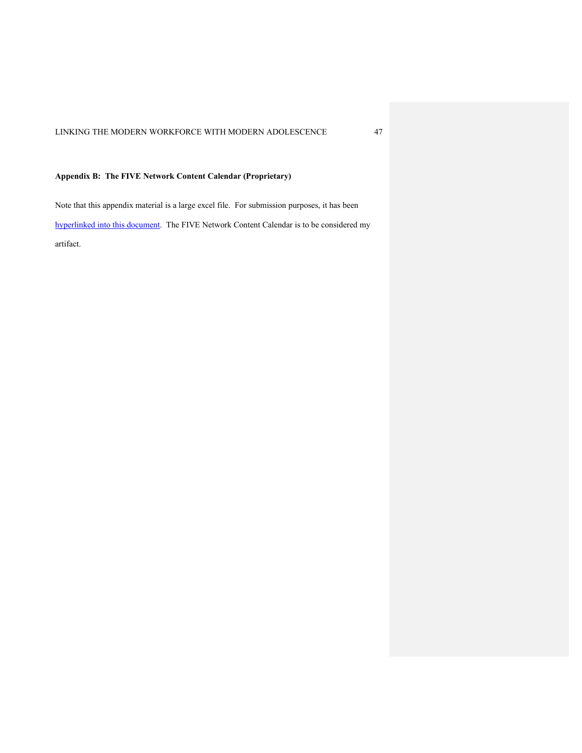# **Appendix B: The FIVE Network Content Calendar (Proprietary)**

Note that this appendix material is a large excel file. For submission purposes, it has been hyperlinked into this document. The FIVE Network Content Calendar is to be considered my artifact.